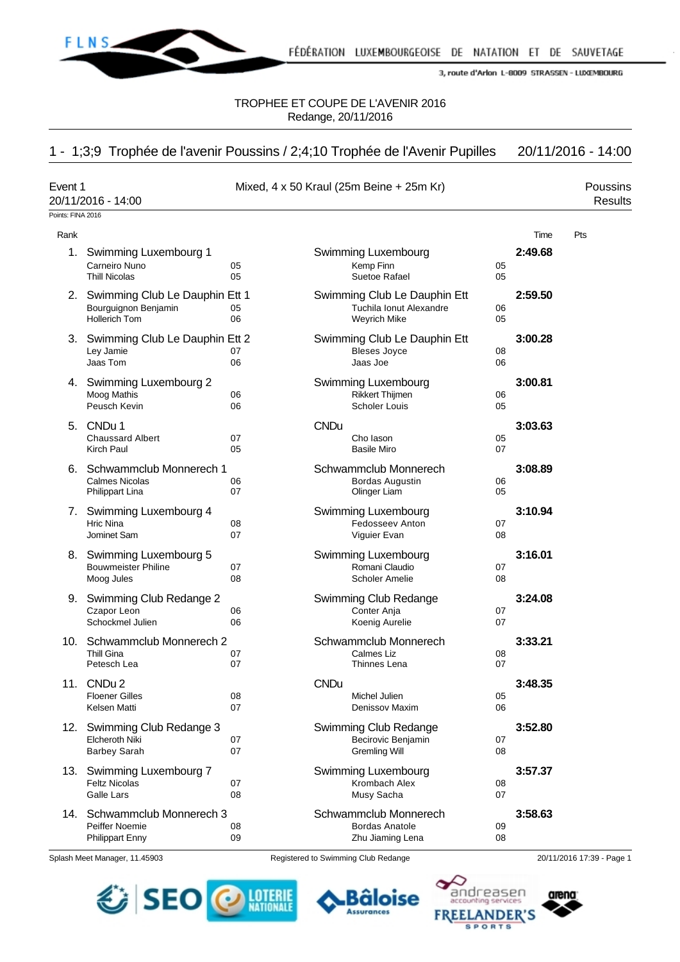

TROPHEE ET COUPE DE L'AVENIR 2016 Redange, 20/11/2016

# 1 - 1;3;9 Trophée de l'avenir Poussins / 2;4;10 Trophée de l'Avenir Pupilles 20/11/2016 - 14:00

| Event 1           | 20/11/2016 - 14:00                                                                |          | Mixed, 4 x 50 Kraul (25m Beine + 25m Kr)                                |          |         | Poussins<br><b>Results</b> |
|-------------------|-----------------------------------------------------------------------------------|----------|-------------------------------------------------------------------------|----------|---------|----------------------------|
| Points: FINA 2016 |                                                                                   |          |                                                                         |          |         |                            |
| Rank              |                                                                                   |          |                                                                         |          | Time    | Pts                        |
|                   | 1. Swimming Luxembourg 1<br>Carneiro Nuno<br><b>Thill Nicolas</b>                 | 05<br>05 | Swimming Luxembourg<br>Kemp Finn<br>Suetoe Rafael                       | 05<br>05 | 2:49.68 |                            |
|                   | 2. Swimming Club Le Dauphin Ett 1<br>Bourguignon Benjamin<br><b>Hollerich Tom</b> | 05<br>06 | Swimming Club Le Dauphin Ett<br>Tuchila Ionut Alexandre<br>Weyrich Mike | 06<br>05 | 2:59.50 |                            |
|                   | 3. Swimming Club Le Dauphin Ett 2<br>Ley Jamie<br>Jaas Tom                        | 07<br>06 | Swimming Club Le Dauphin Ett<br><b>Bleses Joyce</b><br>Jaas Joe         | 08<br>06 | 3:00.28 |                            |
|                   | 4. Swimming Luxembourg 2<br>Moog Mathis<br>Peusch Kevin                           | 06<br>06 | Swimming Luxembourg<br><b>Rikkert Thijmen</b><br><b>Scholer Louis</b>   | 06<br>05 | 3:00.81 |                            |
|                   | 5. CNDu 1<br><b>Chaussard Albert</b><br>Kirch Paul                                | 07<br>05 | <b>CNDu</b><br>Cho lason<br><b>Basile Miro</b>                          | 05<br>07 | 3:03.63 |                            |
|                   | 6. Schwammclub Monnerech 1<br><b>Calmes Nicolas</b><br>Philippart Lina            | 06<br>07 | Schwammclub Monnerech<br>Bordas Augustin<br>Olinger Liam                | 06<br>05 | 3:08.89 |                            |
|                   | 7. Swimming Luxembourg 4<br><b>Hric Nina</b><br>Jominet Sam                       | 08<br>07 | Swimming Luxembourg<br>Fedosseev Anton<br>Viguier Evan                  | 07<br>08 | 3:10.94 |                            |
|                   | 8. Swimming Luxembourg 5<br><b>Bouwmeister Philine</b><br>Moog Jules              | 07<br>08 | Swimming Luxembourg<br>Romani Claudio<br><b>Scholer Amelie</b>          | 07<br>08 | 3:16.01 |                            |
|                   | 9. Swimming Club Redange 2<br>Czapor Leon<br>Schockmel Julien                     | 06<br>06 | Swimming Club Redange<br>Conter Anja<br>Koenig Aurelie                  | 07<br>07 | 3:24.08 |                            |
|                   | 10. Schwammclub Monnerech 2<br><b>Thill Gina</b><br>Petesch Lea                   | 07<br>07 | Schwammclub Monnerech<br>Calmes Liz<br>Thinnes Lena                     | 08<br>07 | 3:33.21 |                            |
|                   | 11. CNDu 2<br><b>Floener Gilles</b><br>Kelsen Matti                               | 08<br>07 | <b>CNDu</b><br>Michel Julien<br>Denissov Maxim                          | 05<br>06 | 3:48.35 |                            |
|                   | 12. Swimming Club Redange 3<br><b>Elcheroth Niki</b><br><b>Barbey Sarah</b>       | 07<br>07 | Swimming Club Redange<br>Becirovic Benjamin<br><b>Gremling Will</b>     | 07<br>08 | 3:52.80 |                            |
|                   | 13. Swimming Luxembourg 7<br><b>Feltz Nicolas</b><br>Galle Lars                   | 07<br>08 | Swimming Luxembourg<br>Krombach Alex<br>Musy Sacha                      | 08<br>07 | 3:57.37 |                            |
|                   | 14. Schwammclub Monnerech 3<br>Peiffer Noemie<br>Philippart Enny                  | 08<br>09 | Schwammclub Monnerech<br><b>Bordas Anatole</b><br>Zhu Jiaming Lena      | 09<br>08 | 3:58.63 |                            |

Splash Meet Manager, 11.45903 Registered to Swimming Club Redange 20/11/2016 17:39 - Page 1



**FREELANDER'S SPORTS** 



Bâloise

**Assurances**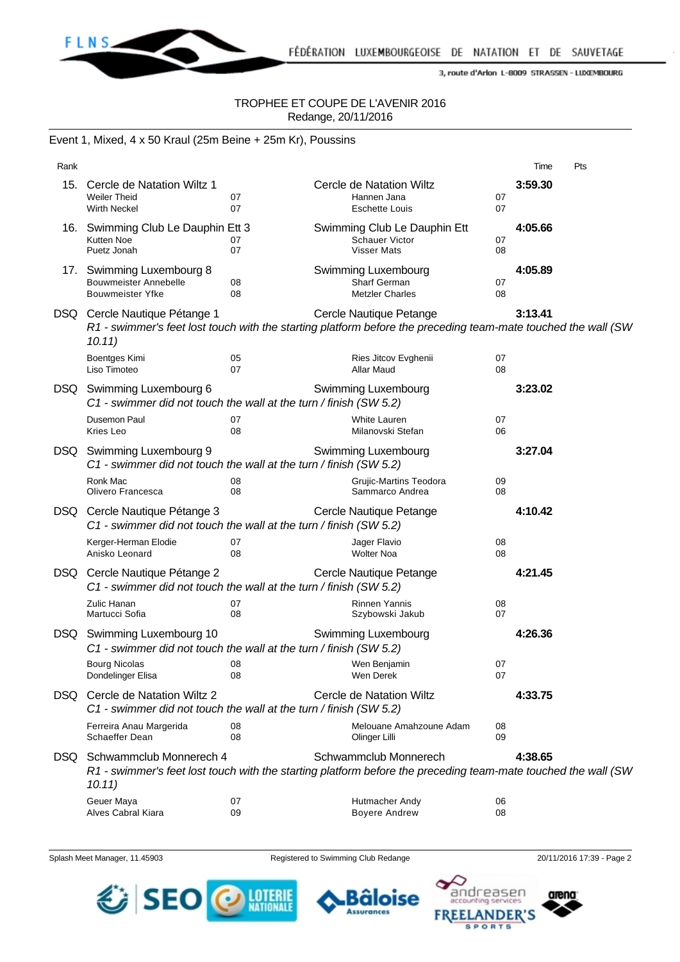

## TROPHEE ET COUPE DE L'AVENIR 2016 Redange, 20/11/2016

#### Event 1, Mixed, 4 x 50 Kraul (25m Beine + 25m Kr), Poussins

| Rank |                                                                                                    |                                                                                                                                          |                                                                                                                                        |          | Time    | Pts |
|------|----------------------------------------------------------------------------------------------------|------------------------------------------------------------------------------------------------------------------------------------------|----------------------------------------------------------------------------------------------------------------------------------------|----------|---------|-----|
|      | 15. Cercle de Natation Wiltz 1<br><b>Weiler Theid</b><br><b>Wirth Neckel</b>                       | 07<br>07                                                                                                                                 | Cercle de Natation Wiltz<br>Hannen Jana<br><b>Eschette Louis</b>                                                                       | 07<br>07 | 3:59.30 |     |
|      | 16. Swimming Club Le Dauphin Ett 3<br>Kutten Noe<br>Puetz Jonah                                    | 07<br>07                                                                                                                                 | Swimming Club Le Dauphin Ett<br>Schauer Victor<br><b>Visser Mats</b>                                                                   | 07<br>08 | 4:05.66 |     |
|      | 17. Swimming Luxembourg 8<br><b>Bouwmeister Annebelle</b><br><b>Bouwmeister Yfke</b>               | 08<br>08                                                                                                                                 | Swimming Luxembourg<br>Sharf German<br><b>Metzler Charles</b>                                                                          | 07<br>08 | 4:05.89 |     |
|      | DSQ Cercle Nautique Pétange 1<br>10.11)                                                            | Cercle Nautique Petange<br>R1 - swimmer's feet lost touch with the starting platform before the preceding team-mate touched the wall (SW |                                                                                                                                        | 3:13.41  |         |     |
|      | Boentges Kimi<br>Liso Timoteo                                                                      | 05<br>07                                                                                                                                 | Ries Jitcov Evghenii<br>Allar Maud                                                                                                     | 07<br>08 |         |     |
|      | DSQ Swimming Luxembourg 6<br>C1 - swimmer did not touch the wall at the turn / finish (SW 5.2)     |                                                                                                                                          | Swimming Luxembourg                                                                                                                    |          | 3:23.02 |     |
|      | Dusemon Paul<br>Kries Leo                                                                          | 07<br>08                                                                                                                                 | White Lauren<br>Milanovski Stefan                                                                                                      | 07<br>06 |         |     |
|      | DSQ Swimming Luxembourg 9<br>C1 - swimmer did not touch the wall at the turn / finish (SW 5.2)     |                                                                                                                                          | Swimming Luxembourg                                                                                                                    |          | 3:27.04 |     |
|      | Ronk Mac<br>Olivero Francesca                                                                      | 08<br>08                                                                                                                                 | Grujic-Martins Teodora<br>Sammarco Andrea                                                                                              | 09<br>08 |         |     |
|      | DSQ Cercle Nautique Pétange 3<br>C1 - swimmer did not touch the wall at the turn / finish (SW 5.2) |                                                                                                                                          | Cercle Nautique Petange                                                                                                                |          | 4:10.42 |     |
|      | Kerger-Herman Elodie<br>Anisko Leonard                                                             | 07<br>08                                                                                                                                 | Jager Flavio<br><b>Wolter Noa</b>                                                                                                      | 08<br>08 |         |     |
|      | DSQ Cercle Nautique Pétange 2<br>C1 - swimmer did not touch the wall at the turn / finish (SW 5.2) |                                                                                                                                          | Cercle Nautique Petange                                                                                                                |          | 4:21.45 |     |
|      | Zulic Hanan<br>Martucci Sofia                                                                      | 07<br>08                                                                                                                                 | Rinnen Yannis<br>Szybowski Jakub                                                                                                       | 08<br>07 |         |     |
|      | DSQ Swimming Luxembourg 10<br>C1 - swimmer did not touch the wall at the turn / finish (SW 5.2)    |                                                                                                                                          | Swimming Luxembourg                                                                                                                    |          | 4:26.36 |     |
|      | Bourg Nicolas <b>Example</b><br>Dondelinger Elisa                                                  | 08<br>08                                                                                                                                 | Wen Benjamin<br>Wen Derek                                                                                                              | 07<br>07 |         |     |
| DSQ. | Cercle de Natation Wiltz 2<br>C1 - swimmer did not touch the wall at the turn / finish (SW 5.2)    |                                                                                                                                          | Cercle de Natation Wiltz                                                                                                               |          | 4:33.75 |     |
|      | Ferreira Anau Margerida<br>Schaeffer Dean                                                          | 08<br>08                                                                                                                                 | Melouane Amahzoune Adam<br>Olinger Lilli                                                                                               | 08<br>09 |         |     |
| DSQ. | Schwammclub Monnerech 4<br>10.11)                                                                  |                                                                                                                                          | Schwammclub Monnerech<br>R1 - swimmer's feet lost touch with the starting platform before the preceding team-mate touched the wall (SW |          | 4:38.65 |     |
|      | Geuer Maya<br>Alves Cabral Kiara                                                                   | 07<br>09                                                                                                                                 | Hutmacher Andy<br><b>Boyere Andrew</b>                                                                                                 | 06<br>08 |         |     |

Splash Meet Manager, 11.45903 Registered to Swimming Club Redange 20/11/2016 17:39 - Page 2

**Assurances** 



andreasen Bâloise **FREELANDER'S SPORTS** 

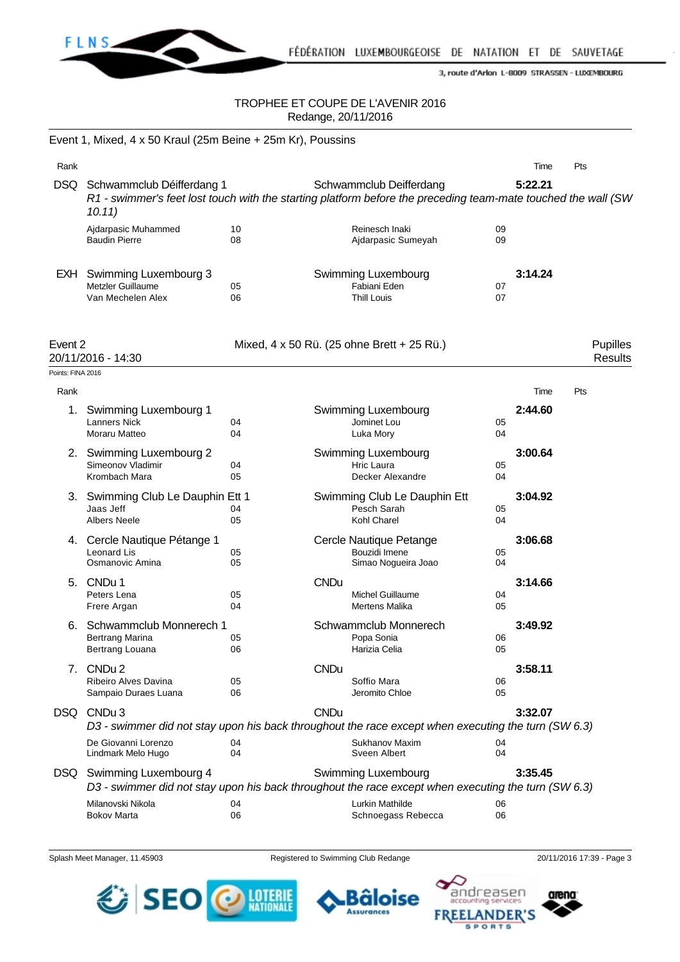

FÉDÉRATION LUXEMBOURGEOISE DE NATATION ET DE SAUVETAGE

3, route d'Arlon L-8009 STRASSEN - LUXEMBOURG

#### TROPHEE ET COUPE DE L'AVENIR 2016 Redange, 20/11/2016

|                   | Event 1, Mixed, 4 x 50 Kraul (25m Beine + 25m Kr), Poussins                                                                                              |          |             |                                                                 |          |         |                            |
|-------------------|----------------------------------------------------------------------------------------------------------------------------------------------------------|----------|-------------|-----------------------------------------------------------------|----------|---------|----------------------------|
| Rank              |                                                                                                                                                          |          |             |                                                                 |          | Time    | Pts                        |
|                   | DSQ Schwammclub Déifferdang 1<br>R1 - swimmer's feet lost touch with the starting platform before the preceding team-mate touched the wall (SW<br>10.11) |          |             | Schwammclub Deifferdang                                         |          | 5:22.21 |                            |
|                   | Ajdarpasic Muhammed<br><b>Baudin Pierre</b>                                                                                                              | 10<br>08 |             | Reinesch Inaki<br>Ajdarpasic Sumeyah                            | 09<br>09 |         |                            |
| EXH               | Swimming Luxembourg 3<br>Metzler Guillaume<br>Van Mechelen Alex                                                                                          | 05<br>06 |             | Swimming Luxembourg<br>Fabiani Eden<br><b>Thill Louis</b>       | 07<br>07 | 3:14.24 |                            |
| Event 2           | 20/11/2016 - 14:30                                                                                                                                       |          |             | Mixed, 4 x 50 Rü. (25 ohne Brett + 25 Rü.)                      |          |         | Pupilles<br><b>Results</b> |
| Points: FINA 2016 |                                                                                                                                                          |          |             |                                                                 |          |         |                            |
| Rank              |                                                                                                                                                          |          |             |                                                                 |          | Time    | Pts                        |
| 1.                | Swimming Luxembourg 1<br><b>Lanners Nick</b><br>Moraru Matteo                                                                                            | 04<br>04 |             | Swimming Luxembourg<br>Jominet Lou<br>Luka Mory                 | 05<br>04 | 2:44.60 |                            |
|                   | 2. Swimming Luxembourg 2<br>Simeonov Vladimir<br>Krombach Mara                                                                                           | 04<br>05 |             | Swimming Luxembourg<br>Hric Laura<br>Decker Alexandre           | 05<br>04 | 3:00.64 |                            |
|                   | 3. Swimming Club Le Dauphin Ett 1<br>Jaas Jeff<br><b>Albers Neele</b>                                                                                    | 04<br>05 |             | Swimming Club Le Dauphin Ett<br>Pesch Sarah<br>Kohl Charel      | 05<br>04 | 3:04.92 |                            |
|                   | 4. Cercle Nautique Pétange 1<br><b>Leonard Lis</b><br>Osmanovic Amina                                                                                    | 05<br>05 |             | Cercle Nautique Petange<br>Bouzidi Imene<br>Simao Nogueira Joao | 05<br>04 | 3:06.68 |                            |
|                   | 5. CNDu 1<br>Peters Lena<br>Frere Argan                                                                                                                  | 05<br>04 | <b>CNDu</b> | <b>Michel Guillaume</b><br>Mertens Malika                       | 04<br>05 | 3:14.66 |                            |
| 6.                | Schwammclub Monnerech 1<br>Bertrang Marina<br>Bertrang Louana                                                                                            | 05<br>06 |             | Schwammclub Monnerech<br>Popa Sonia<br>Harizia Celia            | 06<br>05 | 3:49.92 |                            |
| 7.                | CNDu 2<br><b>Ribeiro Alves Davina</b><br>Sampaio Duraes Luana                                                                                            | 05<br>06 | <b>CNDu</b> | Soffio Mara<br>Jeromito Chloe                                   | 06<br>05 | 3:58.11 |                            |
| DSQ.              | CNDu 3<br>D3 - swimmer did not stay upon his back throughout the race except when executing the turn (SW 6.3)                                            |          | <b>CNDu</b> |                                                                 |          | 3:32.07 |                            |
|                   | De Giovanni Lorenzo<br>Lindmark Melo Hugo                                                                                                                | 04<br>04 |             | Sukhanov Maxim<br>Sveen Albert                                  | 04<br>04 |         |                            |
| DSQ.              | Swimming Luxembourg 4<br>D3 - swimmer did not stay upon his back throughout the race except when executing the turn (SW 6.3)                             |          |             | Swimming Luxembourg                                             |          | 3:35.45 |                            |
|                   | Milanovski Nikola<br><b>Bokov Marta</b>                                                                                                                  | 04<br>06 |             | Lurkin Mathilde<br>Schnoegass Rebecca                           | 06<br>06 |         |                            |

Splash Meet Manager, 11.45903 Registered to Swimming Club Redange 20/11/2016 17:39 - Page 3

**Assurances** 





andreasen arena Bâloise **FREELANDER'S SPORTS**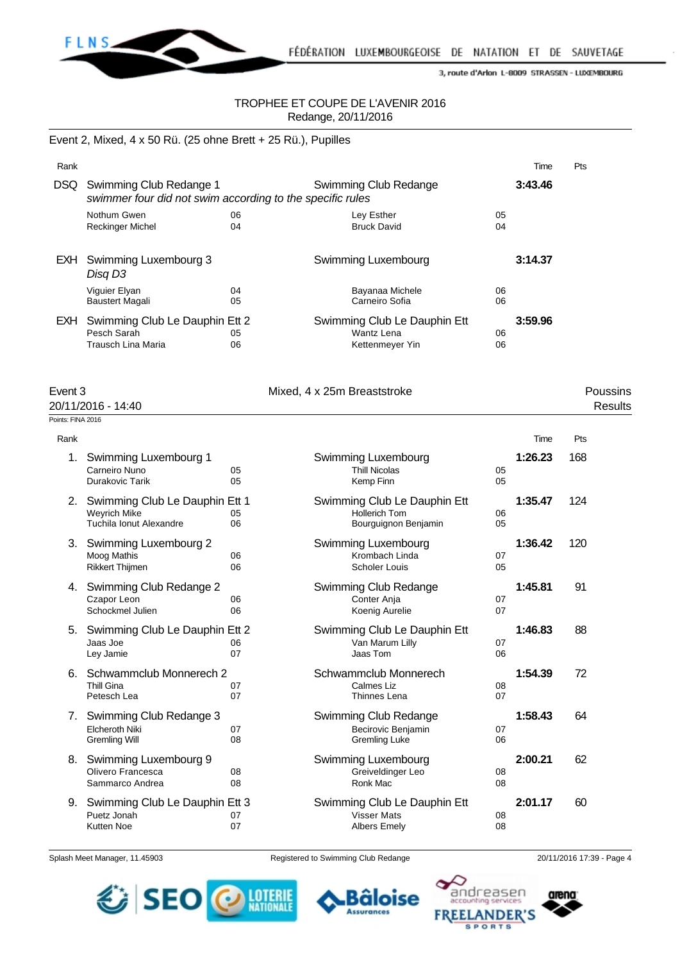

## TROPHEE ET COUPE DE L'AVENIR 2016 Redange, 20/11/2016

#### Event 2, Mixed, 4 x 50 Rü. (25 ohne Brett + 25 Rü.), Pupilles

| Rank                      |                                                                                      |          |                                                                           |          | Time    | Pts                 |
|---------------------------|--------------------------------------------------------------------------------------|----------|---------------------------------------------------------------------------|----------|---------|---------------------|
| <b>DSQ</b>                | Swimming Club Redange 1<br>swimmer four did not swim according to the specific rules |          | Swimming Club Redange                                                     |          | 3:43.46 |                     |
|                           | Nothum Gwen<br><b>Reckinger Michel</b>                                               | 06<br>04 | Ley Esther<br><b>Bruck David</b>                                          | 05<br>04 |         |                     |
|                           | EXH Swimming Luxembourg 3<br>Disg D3                                                 |          | Swimming Luxembourg                                                       |          | 3:14.37 |                     |
|                           | Viguier Elyan<br><b>Baustert Magali</b>                                              | 04<br>05 | Bayanaa Michele<br>Carneiro Sofia                                         | 06<br>06 |         |                     |
| EXH                       | Swimming Club Le Dauphin Ett 2<br>Pesch Sarah<br><b>Trausch Lina Maria</b>           | 05<br>06 | Swimming Club Le Dauphin Ett<br><b>Wantz Lena</b><br>Kettenmeyer Yin      | 06<br>06 | 3:59.96 |                     |
| Event 3                   | 20/11/2016 - 14:40                                                                   |          | Mixed, 4 x 25m Breaststroke                                               |          |         | Poussins<br>Results |
| Points: FINA 2016<br>Rank |                                                                                      |          |                                                                           |          | Time    | Pts                 |
| 1.                        | Swimming Luxembourg 1<br>Carneiro Nuno<br>Durakovic Tarik                            | 05<br>05 | Swimming Luxembourg<br><b>Thill Nicolas</b><br>Kemp Finn                  | 05<br>05 | 1:26.23 | 168                 |
|                           | 2. Swimming Club Le Dauphin Ett 1<br><b>Weyrich Mike</b><br>Tuchila Ionut Alexandre  | 05<br>06 | Swimming Club Le Dauphin Ett<br>Hollerich Tom<br>Bourguignon Benjamin     | 06<br>05 | 1:35.47 | 124                 |
| 3.                        | Swimming Luxembourg 2<br>Moog Mathis<br><b>Rikkert Thijmen</b>                       | 06<br>06 | Swimming Luxembourg<br>Krombach Linda<br>Scholer Louis                    | 07<br>05 | 1:36.42 | 120                 |
| 4.                        | Swimming Club Redange 2<br>Czapor Leon<br>Schockmel Julien                           | 06<br>06 | Swimming Club Redange<br>Conter Anja<br>Koenig Aurelie                    | 07<br>07 | 1:45.81 | 91                  |
| 5.                        | Swimming Club Le Dauphin Ett 2<br>Jaas Joe<br>Ley Jamie                              | 06<br>07 | Swimming Club Le Dauphin Ett<br>Van Marum Lilly<br>Jaas Tom               | 07<br>06 | 1:46.83 | 88                  |
|                           | 6. Schwammclub Monnerech 2<br>Thill Gina<br>Petesch Lea                              | 07<br>07 | Schwammclub Monnerech<br>Calmes Liz<br>Thinnes Lena                       | 08<br>07 | 1:54.39 | 72                  |
| 7.                        | Swimming Club Redange 3<br>Elcheroth Niki<br><b>Gremling Will</b>                    | 07<br>08 | Swimming Club Redange<br>Becirovic Benjamin<br><b>Gremling Luke</b>       | 07<br>06 | 1:58.43 | 64                  |
| 8.                        | Swimming Luxembourg 9<br>Olivero Francesca<br>Sammarco Andrea                        | 08<br>08 | Swimming Luxembourg<br>Greiveldinger Leo<br>Ronk Mac                      | 08<br>08 | 2:00.21 | 62                  |
|                           | 9. Swimming Club Le Dauphin Ett 3<br>Puetz Jonah<br>Kutten Noe                       | 07<br>07 | Swimming Club Le Dauphin Ett<br><b>Visser Mats</b><br><b>Albers Emely</b> | 08<br>08 | 2:01.17 | 60                  |

Splash Meet Manager, 11.45903 Registered to Swimming Club Redange 20/11/2016 17:39 - Page 4



Bâloise **Assurances** 



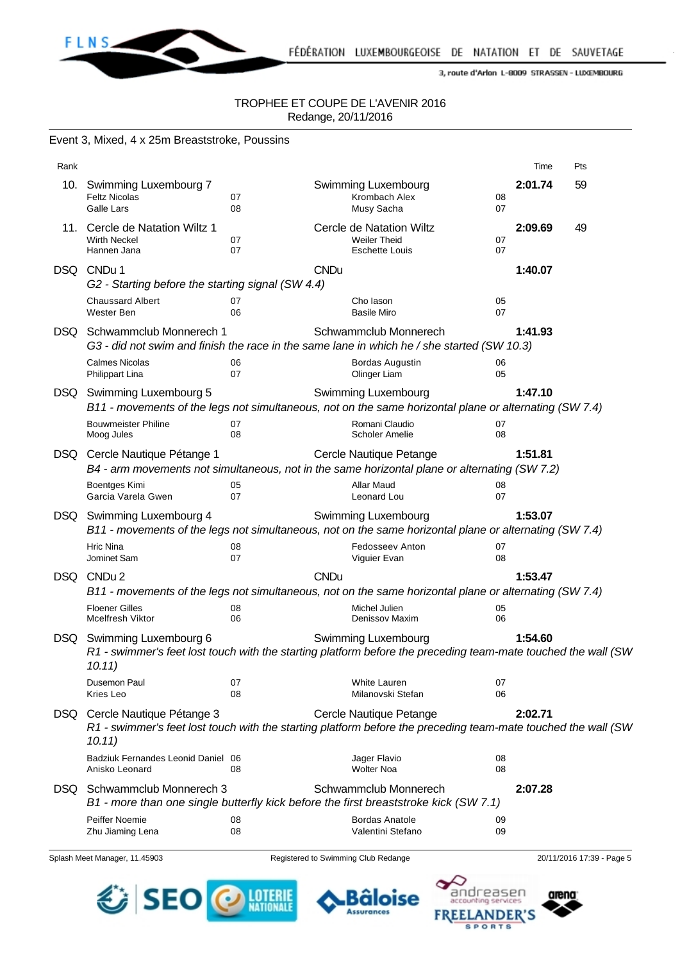

#### TROPHEE ET COUPE DE L'AVENIR 2016 Redange, 20/11/2016

|      | Event 3, Mixed, 4 x 25m Breaststroke, Poussins                                                                                                                    |          |             |                                                                          |          |         |     |
|------|-------------------------------------------------------------------------------------------------------------------------------------------------------------------|----------|-------------|--------------------------------------------------------------------------|----------|---------|-----|
| Rank |                                                                                                                                                                   |          |             |                                                                          |          | Time    | Pts |
|      | 10. Swimming Luxembourg 7<br><b>Feltz Nicolas</b><br>Galle Lars                                                                                                   | 07<br>08 |             | Swimming Luxembourg<br>Krombach Alex<br>Musy Sacha                       | 08<br>07 | 2:01.74 | 59  |
| 11.  | Cercle de Natation Wiltz 1<br><b>Wirth Neckel</b><br>Hannen Jana                                                                                                  | 07<br>07 |             | Cercle de Natation Wiltz<br><b>Weiler Theid</b><br><b>Eschette Louis</b> | 07<br>07 | 2:09.69 | 49  |
| DSQ  | CNDu 1<br>G2 - Starting before the starting signal (SW 4.4)                                                                                                       |          | <b>CNDu</b> |                                                                          |          | 1:40.07 |     |
|      | <b>Chaussard Albert</b><br>Wester Ben                                                                                                                             | 07<br>06 |             | Cho lason<br><b>Basile Miro</b>                                          | 05<br>07 |         |     |
|      | DSQ Schwammclub Monnerech 1<br>G3 - did not swim and finish the race in the same lane in which he / she started (SW 10.3)                                         |          |             | Schwammclub Monnerech                                                    |          | 1:41.93 |     |
|      | <b>Calmes Nicolas</b><br>Philippart Lina                                                                                                                          | 06<br>07 |             | <b>Bordas Augustin</b><br>Olinger Liam                                   | 06<br>05 |         |     |
|      | DSQ Swimming Luxembourg 5<br>B11 - movements of the legs not simultaneous, not on the same horizontal plane or alternating (SW 7.4)                               |          |             | <b>Swimming Luxembourg</b>                                               |          | 1:47.10 |     |
|      | <b>Bouwmeister Philine</b><br>Moog Jules                                                                                                                          | 07<br>08 |             | Romani Claudio<br>Scholer Amelie                                         | 07<br>08 |         |     |
| DSQ  | Cercle Nautique Pétange 1<br>B4 - arm movements not simultaneous, not in the same horizontal plane or alternating (SW 7.2)<br>Boentges Kimi<br>Garcia Varela Gwen | 05<br>07 |             | Cercle Nautique Petange<br><b>Allar Maud</b><br>Leonard Lou              | 08<br>07 | 1:51.81 |     |
|      | DSQ Swimming Luxembourg 4<br>B11 - movements of the legs not simultaneous, not on the same horizontal plane or alternating (SW 7.4)                               |          |             | <b>Swimming Luxembourg</b>                                               |          | 1:53.07 |     |
|      | <b>Hric Nina</b><br>Jominet Sam                                                                                                                                   | 08<br>07 |             | <b>Fedosseev Anton</b><br>Viguier Evan                                   | 07<br>08 |         |     |
| DSQ. | CNDu <sub>2</sub><br>B11 - movements of the legs not simultaneous, not on the same horizontal plane or alternating (SW 7.4)                                       |          | <b>CNDu</b> |                                                                          |          | 1:53.47 |     |
|      | <b>Floener Gilles</b><br><b>Mcelfresh Viktor</b>                                                                                                                  | 08<br>06 |             | Michel Julien<br>Denissov Maxim                                          | 05<br>06 |         |     |
|      | DSQ Swimming Luxembourg 6<br>R1 - swimmer's feet lost touch with the starting platform before the preceding team-mate touched the wall (SW<br>10.11)              |          |             | Swimming Luxembourg                                                      |          | 1:54.60 |     |
|      | Dusemon Paul<br>Kries Leo                                                                                                                                         | 07<br>08 |             | White Lauren<br>Milanovski Stefan                                        | 07<br>06 |         |     |
| DSQ. | Cercle Nautique Pétange 3<br>R1 - swimmer's feet lost touch with the starting platform before the preceding team-mate touched the wall (SW<br>10.11)              |          |             | Cercle Nautique Petange                                                  |          | 2:02.71 |     |
|      | Badziuk Fernandes Leonid Daniel 06<br>Anisko Leonard                                                                                                              | 08       |             | Jager Flavio<br><b>Wolter Noa</b>                                        | 08<br>08 |         |     |
| DSQ. | Schwammclub Monnerech 3<br>B1 - more than one single butterfly kick before the first breaststroke kick (SW 7.1)                                                   |          |             | Schwammclub Monnerech                                                    |          | 2:07.28 |     |
|      | Peiffer Noemie<br>Zhu Jiaming Lena                                                                                                                                | 08<br>08 |             | <b>Bordas Anatole</b><br>Valentini Stefano                               | 09<br>09 |         |     |

Splash Meet Manager, 11.45903 Registered to Swimming Club Redange 20/11/2016 17:39 - Page 5





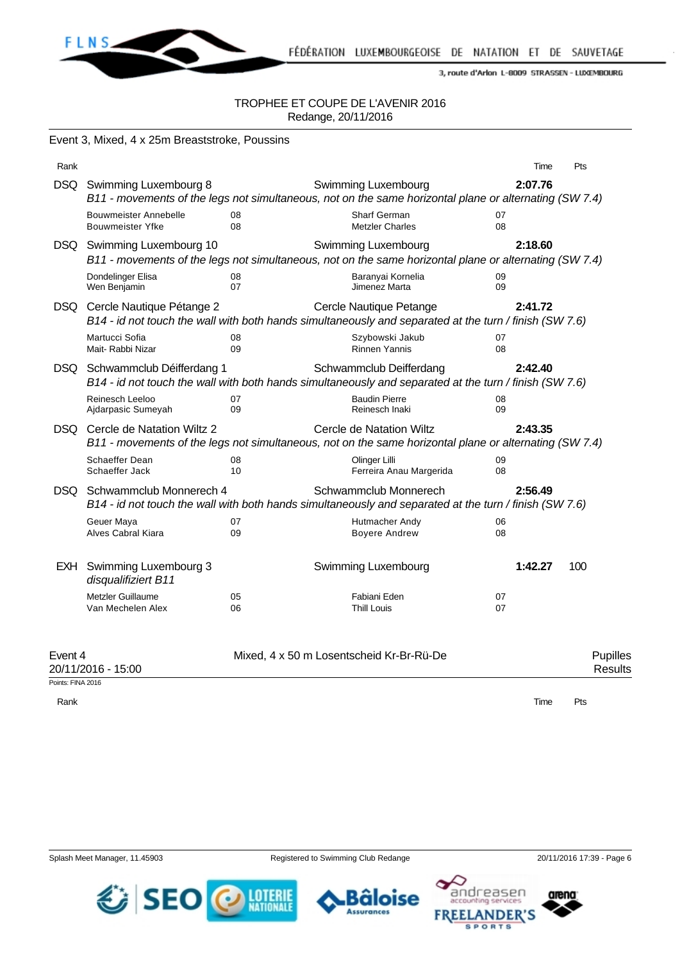

#### TROPHEE ET COUPE DE L'AVENIR 2016 Redange, 20/11/2016

|         | Event 3, Mixed, 4 x 25m Breaststroke, Poussins                                                                                                                            |          |                                                                                                                                    |          |                     |  |  |
|---------|---------------------------------------------------------------------------------------------------------------------------------------------------------------------------|----------|------------------------------------------------------------------------------------------------------------------------------------|----------|---------------------|--|--|
| Rank    |                                                                                                                                                                           |          |                                                                                                                                    |          | Pts<br>Time         |  |  |
| DSQ     | Swimming Luxembourg 8                                                                                                                                                     |          | Swimming Luxembourg<br>B11 - movements of the legs not simultaneous, not on the same horizontal plane or alternating (SW 7.4)      | 2:07.76  |                     |  |  |
|         | <b>Bouwmeister Annebelle</b><br><b>Bouwmeister Yfke</b>                                                                                                                   | 08<br>08 | Sharf German<br><b>Metzler Charles</b>                                                                                             | 07<br>08 |                     |  |  |
|         | DSQ Swimming Luxembourg 10                                                                                                                                                |          | Swimming Luxembourg<br>B11 - movements of the legs not simultaneous, not on the same horizontal plane or alternating (SW 7.4)      | 2:18.60  |                     |  |  |
|         | Dondelinger Elisa<br>Wen Benjamin                                                                                                                                         | 08<br>07 | Baranyai Kornelia<br>Jimenez Marta                                                                                                 | 09<br>09 |                     |  |  |
|         | DSQ Cercle Nautique Pétange 2                                                                                                                                             |          | Cercle Nautique Petange<br>B14 - id not touch the wall with both hands simultaneously and separated at the turn / finish (SW 7.6)  | 2:41.72  |                     |  |  |
|         | Martucci Sofia<br>Mait- Rabbi Nizar                                                                                                                                       | 08<br>09 | Szybowski Jakub<br><b>Rinnen Yannis</b>                                                                                            | 07<br>08 |                     |  |  |
|         | DSQ Schwammclub Déifferdang 1                                                                                                                                             |          | Schwammclub Deifferdang<br>B14 - id not touch the wall with both hands simultaneously and separated at the turn / finish (SW 7.6)  | 2:42.40  |                     |  |  |
|         | Reinesch Leeloo<br>Ajdarpasic Sumeyah                                                                                                                                     | 07<br>09 | <b>Baudin Pierre</b><br>Reinesch Inaki                                                                                             | 08<br>09 |                     |  |  |
|         | DSQ Cercle de Natation Wiltz 2                                                                                                                                            |          | Cercle de Natation Wiltz<br>B11 - movements of the legs not simultaneous, not on the same horizontal plane or alternating (SW 7.4) | 2:43.35  |                     |  |  |
|         | Schaeffer Dean<br>Schaeffer Jack                                                                                                                                          | 08<br>10 | Olinger Lilli<br>Ferreira Anau Margerida                                                                                           | 09<br>08 |                     |  |  |
|         | DSQ Schwammclub Monnerech 4<br>Schwammclub Monnerech<br>2:56.49<br>B14 - id not touch the wall with both hands simultaneously and separated at the turn / finish (SW 7.6) |          |                                                                                                                                    |          |                     |  |  |
|         | Geuer Maya<br>Alves Cabral Kiara                                                                                                                                          | 07<br>09 | Hutmacher Andy<br><b>Boyere Andrew</b>                                                                                             | 06<br>08 |                     |  |  |
|         | EXH Swimming Luxembourg 3<br>disqualifiziert B11                                                                                                                          |          | Swimming Luxembourg                                                                                                                | 1:42.27  | 100                 |  |  |
|         | Metzler Guillaume<br>Van Mechelen Alex                                                                                                                                    | 05<br>06 | Fabiani Eden<br><b>Thill Louis</b>                                                                                                 | 07<br>07 |                     |  |  |
| Event 4 | 20/11/2016 - 15:00                                                                                                                                                        |          | Mixed, 4 x 50 m Losentscheid Kr-Br-Rü-De                                                                                           |          | Pupilles<br>Results |  |  |

Points: FINA 2016

FLNS\_

Rank **Time Pts** 

**Assurances** 





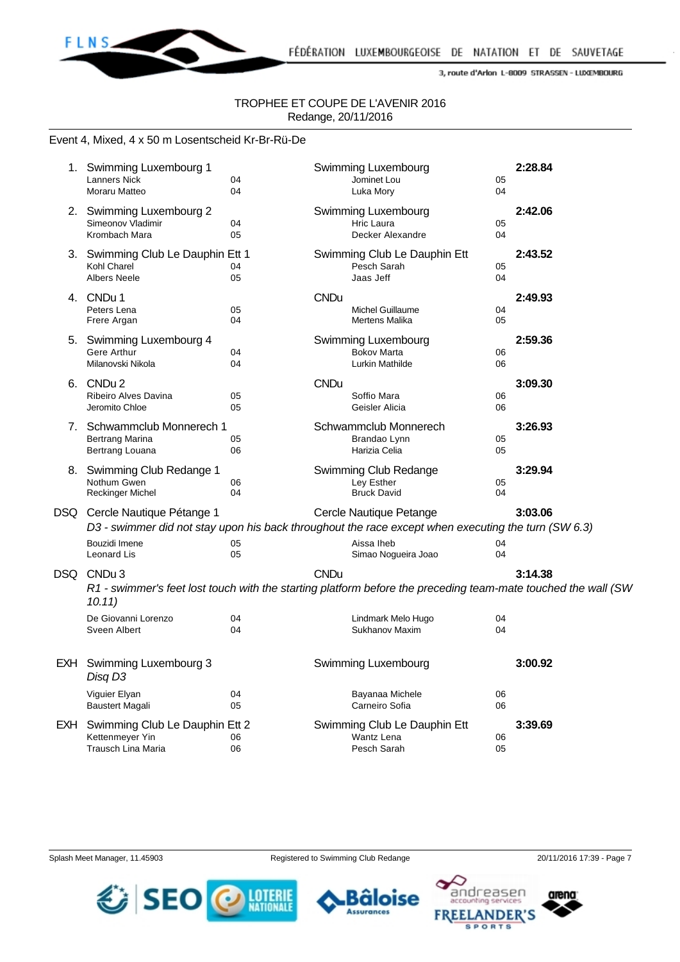

#### TROPHEE ET COUPE DE L'AVENIR 2016 Redange, 20/11/2016

#### Event 4, Mixed, 4 x 50 m Losentscheid Kr-Br-Rü-De

|     | 1. Swimming Luxembourg 1<br><b>Lanners Nick</b><br>Moraru Matteo        | 04<br>04 |             | Swimming Luxembourg<br>Jominet Lou<br>Luka Mory                                                                                | 05<br>04 | 2:28.84 |
|-----|-------------------------------------------------------------------------|----------|-------------|--------------------------------------------------------------------------------------------------------------------------------|----------|---------|
|     | 2. Swimming Luxembourg 2<br>Simeonov Vladimir<br>Krombach Mara          | 04<br>05 |             | Swimming Luxembourg<br>Hric Laura<br>Decker Alexandre                                                                          | 05<br>04 | 2:42.06 |
|     | 3. Swimming Club Le Dauphin Ett 1<br>Kohl Charel<br><b>Albers Neele</b> | 04<br>05 |             | Swimming Club Le Dauphin Ett<br>Pesch Sarah<br>Jaas Jeff                                                                       | 05<br>04 | 2:43.52 |
|     | 4. CNDu 1<br>Peters Lena<br>Frere Argan                                 | 05<br>04 | <b>CNDu</b> | Michel Guillaume<br>Mertens Malika                                                                                             | 04<br>05 | 2:49.93 |
| 5.  | Swimming Luxembourg 4<br>Gere Arthur<br>Milanovski Nikola               | 04<br>04 |             | Swimming Luxembourg<br><b>Bokov Marta</b><br>Lurkin Mathilde                                                                   | 06<br>06 | 2:59.36 |
|     | 6. CNDu 2<br>Ribeiro Alves Davina<br>Jeromito Chloe                     | 05<br>05 | <b>CNDu</b> | Soffio Mara<br>Geisler Alicia                                                                                                  | 06<br>06 | 3:09.30 |
|     | 7. Schwammclub Monnerech 1<br><b>Bertrang Marina</b><br>Bertrang Louana | 05<br>06 |             | Schwammclub Monnerech<br>Brandao Lynn<br>Harizia Celia                                                                         | 05<br>05 | 3:26.93 |
|     | 8. Swimming Club Redange 1<br>Nothum Gwen<br><b>Reckinger Michel</b>    | 06<br>04 |             | Swimming Club Redange<br>Ley Esther<br><b>Bruck David</b>                                                                      | 05<br>04 | 3:29.94 |
|     | DSQ Cercle Nautique Pétange 1                                           |          |             | Cercle Nautique Petange<br>D3 - swimmer did not stay upon his back throughout the race except when executing the turn (SW 6.3) |          | 3:03.06 |
|     | Bouzidi Imene<br>Leonard Lis                                            | 05<br>05 |             | Aissa Iheb<br>Simao Nogueira Joao                                                                                              | 04<br>04 |         |
|     | DSQ CNDu3<br>10.11)                                                     |          | <b>CNDu</b> | R1 - swimmer's feet lost touch with the starting platform before the preceding team-mate touched the wall (SW                  |          | 3:14.38 |
|     | De Giovanni Lorenzo<br>Sveen Albert                                     | 04<br>04 |             | Lindmark Melo Hugo<br>Sukhanov Maxim                                                                                           | 04<br>04 |         |
|     | EXH Swimming Luxembourg 3<br>Disq D3                                    |          |             | Swimming Luxembourg                                                                                                            |          | 3:00.92 |
|     | Viguier Elyan<br><b>Baustert Magali</b>                                 | 04<br>05 |             | Bayanaa Michele<br>Carneiro Sofia                                                                                              | 06<br>06 |         |
| EXH | Swimming Club Le Dauphin Ett 2<br>Kettenmeyer Yin<br>Trausch Lina Maria | 06<br>06 |             | Swimming Club Le Dauphin Ett<br>Wantz Lena<br>Pesch Sarah                                                                      | 06<br>05 | 3:39.69 |

Splash Meet Manager, 11.45903 Registered to Swimming Club Redange 20/11/2016 17:39 - Page 7







**SPORTS**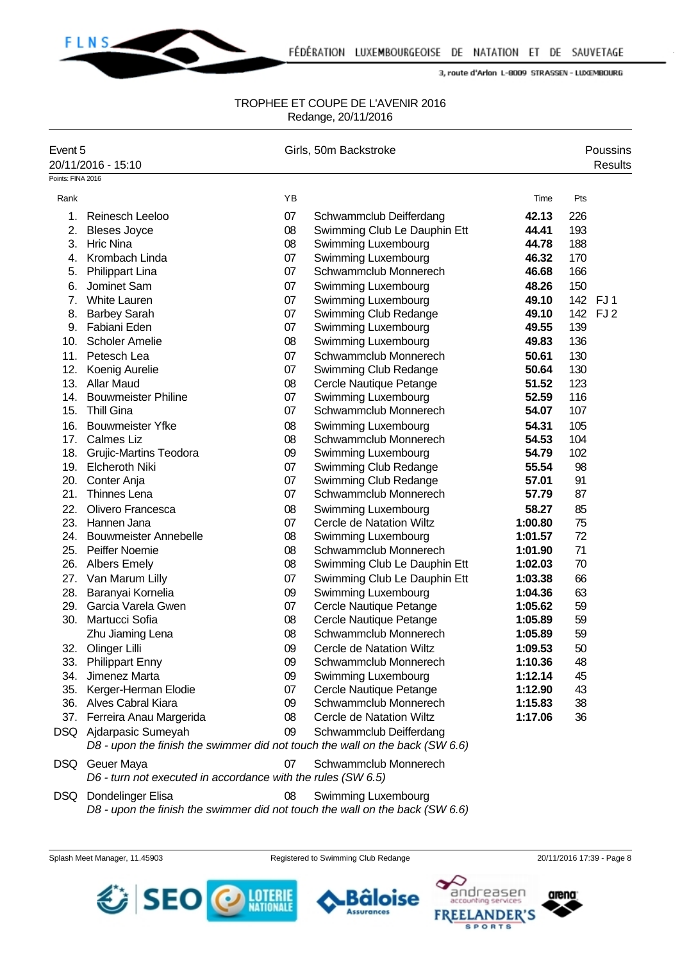

#### TROPHEE ET COUPE DE L'AVENIR 2016 Redange, 20/11/2016

| Event 5           | 20/11/2016 - 15:10                                                           |    | Girls, 50m Backstroke        |         |     | Poussins<br><b>Results</b> |
|-------------------|------------------------------------------------------------------------------|----|------------------------------|---------|-----|----------------------------|
| Points: FINA 2016 |                                                                              |    |                              |         |     |                            |
| Rank              |                                                                              | YB |                              | Time    | Pts |                            |
| 1.                | <b>Reinesch Leeloo</b>                                                       | 07 | Schwammclub Deifferdang      | 42.13   | 226 |                            |
| 2.                | <b>Bleses Joyce</b>                                                          | 08 | Swimming Club Le Dauphin Ett | 44.41   | 193 |                            |
| 3.                | <b>Hric Nina</b>                                                             | 08 | Swimming Luxembourg          | 44.78   | 188 |                            |
| 4.                | Krombach Linda                                                               | 07 | Swimming Luxembourg          | 46.32   | 170 |                            |
| 5.                | <b>Philippart Lina</b>                                                       | 07 | Schwammclub Monnerech        | 46.68   | 166 |                            |
| 6.                | Jominet Sam                                                                  | 07 | Swimming Luxembourg          | 48.26   | 150 |                            |
| 7 <sub>1</sub>    | <b>White Lauren</b>                                                          | 07 | Swimming Luxembourg          | 49.10   |     | 142 FJ1                    |
| 8.                | <b>Barbey Sarah</b>                                                          | 07 | Swimming Club Redange        | 49.10   |     | 142 FJ 2                   |
|                   | 9. Fabiani Eden                                                              | 07 | Swimming Luxembourg          | 49.55   | 139 |                            |
| 10.               | <b>Scholer Amelie</b>                                                        | 08 | Swimming Luxembourg          | 49.83   | 136 |                            |
| 11.               | Petesch Lea                                                                  | 07 | Schwammclub Monnerech        | 50.61   | 130 |                            |
| 12.               | Koenig Aurelie                                                               | 07 | Swimming Club Redange        | 50.64   | 130 |                            |
| 13.               | <b>Allar Maud</b>                                                            | 08 | Cercle Nautique Petange      | 51.52   | 123 |                            |
| 14.               | <b>Bouwmeister Philine</b>                                                   | 07 | Swimming Luxembourg          | 52.59   | 116 |                            |
| 15.               | <b>Thill Gina</b>                                                            | 07 | Schwammclub Monnerech        | 54.07   | 107 |                            |
| 16.               | <b>Bouwmeister Yfke</b>                                                      | 08 | Swimming Luxembourg          | 54.31   | 105 |                            |
| 17.               | <b>Calmes Liz</b>                                                            | 08 | Schwammclub Monnerech        | 54.53   | 104 |                            |
| 18.               | <b>Grujic-Martins Teodora</b>                                                | 09 | Swimming Luxembourg          | 54.79   | 102 |                            |
| 19.               | <b>Elcheroth Niki</b>                                                        | 07 | Swimming Club Redange        | 55.54   | 98  |                            |
| 20.               | Conter Anja                                                                  | 07 | Swimming Club Redange        | 57.01   | 91  |                            |
| 21.               | Thinnes Lena                                                                 | 07 | Schwammclub Monnerech        | 57.79   | 87  |                            |
| 22.               | Olivero Francesca                                                            | 08 | Swimming Luxembourg          | 58.27   | 85  |                            |
| 23.               | Hannen Jana                                                                  | 07 | Cercle de Natation Wiltz     | 1:00.80 | 75  |                            |
| 24.               | <b>Bouwmeister Annebelle</b>                                                 | 08 | Swimming Luxembourg          | 1:01.57 | 72  |                            |
| 25.               | Peiffer Noemie                                                               | 08 | Schwammclub Monnerech        | 1:01.90 | 71  |                            |
| 26.               | <b>Albers Emely</b>                                                          | 08 | Swimming Club Le Dauphin Ett | 1:02.03 | 70  |                            |
| 27.               | Van Marum Lilly                                                              | 07 | Swimming Club Le Dauphin Ett | 1:03.38 | 66  |                            |
| 28.               | Baranyai Kornelia                                                            | 09 | Swimming Luxembourg          | 1:04.36 | 63  |                            |
| 29.               | Garcia Varela Gwen                                                           | 07 | Cercle Nautique Petange      | 1:05.62 | 59  |                            |
| 30.               | Martucci Sofia                                                               | 08 | Cercle Nautique Petange      | 1:05.89 | 59  |                            |
|                   | Zhu Jiaming Lena                                                             | 08 | Schwammclub Monnerech        | 1:05.89 | 59  |                            |
| 32.               | Olinger Lilli                                                                | 09 | Cercle de Natation Wiltz     | 1:09.53 | 50  |                            |
| 33.               | <b>Philippart Enny</b>                                                       | 09 | Schwammclub Monnerech        | 1:10.36 | 48  |                            |
| 34.               | Jimenez Marta                                                                | 09 | Swimming Luxembourg          | 1:12.14 | 45  |                            |
| 35.               | Kerger-Herman Elodie                                                         | 07 | Cercle Nautique Petange      | 1:12.90 | 43  |                            |
|                   | 36. Alves Cabral Kiara                                                       | 09 | Schwammclub Monnerech        | 1:15.83 | 38  |                            |
| 37.               | Ferreira Anau Margerida                                                      | 08 | Cercle de Natation Wiltz     | 1:17.06 | 36  |                            |
|                   | DSQ Ajdarpasic Sumeyah                                                       | 09 | Schwammclub Deifferdang      |         |     |                            |
|                   | D8 - upon the finish the swimmer did not touch the wall on the back (SW 6.6) |    |                              |         |     |                            |
| DSQ.              | Geuer Maya                                                                   | 07 | Schwammclub Monnerech        |         |     |                            |
|                   | D6 - turn not executed in accordance with the rules (SW 6.5)                 |    |                              |         |     |                            |
| DSQ.              | Dondelinger Elisa                                                            | 08 | Swimming Luxembourg          |         |     |                            |

*D8 - upon the finish the swimmer did not touch the wall on the back (SW 6.6)*

**LOTERIE**<br>NATIONALE

SEO

Splash Meet Manager, 11.45903 Registered to Swimming Club Redange 20/11/2016 17:39 - Page 8

Bâloise **Assurances** 



arena

andreasen

**FREELANDER'S SPORTS**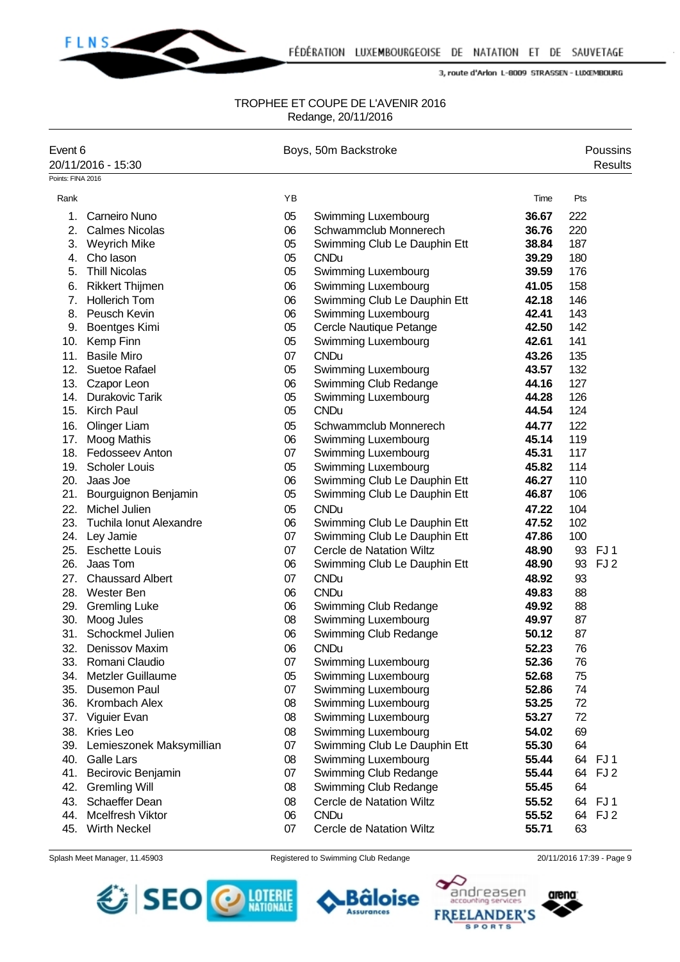

#### TROPHEE ET COUPE DE L'AVENIR 2016 Redange, 20/11/2016

| Event 6           | 20/11/2016 - 15:30       |    | Boys, 50m Backstroke            |       |     | Poussins<br><b>Results</b> |
|-------------------|--------------------------|----|---------------------------------|-------|-----|----------------------------|
| Points: FINA 2016 |                          |    |                                 |       |     |                            |
| Rank              |                          | YB |                                 | Time  | Pts |                            |
| 1.                | <b>Carneiro Nuno</b>     | 05 | Swimming Luxembourg             | 36.67 | 222 |                            |
| 2.                | <b>Calmes Nicolas</b>    | 06 | Schwammclub Monnerech           | 36.76 | 220 |                            |
| 3.                | <b>Weyrich Mike</b>      | 05 | Swimming Club Le Dauphin Ett    | 38.84 | 187 |                            |
| 4.                | Cho lason                | 05 | <b>CNDu</b>                     | 39.29 | 180 |                            |
| 5.                | <b>Thill Nicolas</b>     | 05 | Swimming Luxembourg             | 39.59 | 176 |                            |
| 6.                | <b>Rikkert Thijmen</b>   | 06 | Swimming Luxembourg             | 41.05 | 158 |                            |
| 7.                | <b>Hollerich Tom</b>     | 06 | Swimming Club Le Dauphin Ett    | 42.18 | 146 |                            |
| 8.                | Peusch Kevin             | 06 | Swimming Luxembourg             | 42.41 | 143 |                            |
| 9.                | <b>Boentges Kimi</b>     | 05 | Cercle Nautique Petange         | 42.50 | 142 |                            |
| 10.               | Kemp Finn                | 05 | Swimming Luxembourg             | 42.61 | 141 |                            |
| 11.               | <b>Basile Miro</b>       | 07 | <b>CNDu</b>                     | 43.26 | 135 |                            |
| 12.               | Suetoe Rafael            | 05 | Swimming Luxembourg             | 43.57 | 132 |                            |
|                   | 13. Czapor Leon          | 06 | Swimming Club Redange           | 44.16 | 127 |                            |
| 14.               | Durakovic Tarik          | 05 | Swimming Luxembourg             | 44.28 | 126 |                            |
|                   | 15. Kirch Paul           | 05 | <b>CNDu</b>                     | 44.54 | 124 |                            |
| 16.               | Olinger Liam             | 05 | Schwammclub Monnerech           | 44.77 | 122 |                            |
| 17.               | Moog Mathis              | 06 | Swimming Luxembourg             | 45.14 | 119 |                            |
|                   | 18. Fedosseev Anton      | 07 | Swimming Luxembourg             | 45.31 | 117 |                            |
| 19.               | <b>Scholer Louis</b>     | 05 | Swimming Luxembourg             | 45.82 | 114 |                            |
|                   | 20. Jaas Joe             | 06 | Swimming Club Le Dauphin Ett    | 46.27 | 110 |                            |
| 21.               | Bourguignon Benjamin     | 05 | Swimming Club Le Dauphin Ett    | 46.87 | 106 |                            |
| 22.               | Michel Julien            | 05 | <b>CNDu</b>                     | 47.22 | 104 |                            |
| 23.               | Tuchila Ionut Alexandre  | 06 | Swimming Club Le Dauphin Ett    | 47.52 | 102 |                            |
| 24.               | Ley Jamie                | 07 | Swimming Club Le Dauphin Ett    | 47.86 | 100 |                            |
| 25.               | <b>Eschette Louis</b>    | 07 | <b>Cercle de Natation Wiltz</b> | 48.90 |     | 93 FJ1                     |
| 26.               | Jaas Tom                 | 06 | Swimming Club Le Dauphin Ett    | 48.90 | 93  | FJ <sub>2</sub>            |
| 27.               | <b>Chaussard Albert</b>  | 07 | <b>CNDu</b>                     | 48.92 | 93  |                            |
| 28.               | Wester Ben               | 06 | <b>CNDu</b>                     | 49.83 | 88  |                            |
| 29.               | <b>Gremling Luke</b>     | 06 | Swimming Club Redange           | 49.92 | 88  |                            |
| 30.               | Moog Jules               | 08 | Swimming Luxembourg             | 49.97 | 87  |                            |
| 31.               | Schockmel Julien         | 06 | Swimming Club Redange           | 50.12 | 87  |                            |
| 32.               | Denissov Maxim           | 06 | <b>CNDu</b>                     | 52.23 | 76  |                            |
| 33.               | Romani Claudio           | 07 | Swimming Luxembourg             | 52.36 | 76  |                            |
| 34.               | Metzler Guillaume        | 05 | Swimming Luxembourg             | 52.68 | 75  |                            |
| 35.               | Dusemon Paul             | 07 | Swimming Luxembourg             | 52.86 | 74  |                            |
| 36.               | Krombach Alex            | 08 | Swimming Luxembourg             | 53.25 | 72  |                            |
| 37.               | Viguier Evan             | 08 | Swimming Luxembourg             | 53.27 | 72  |                            |
| 38.               | Kries Leo                | 08 | Swimming Luxembourg             | 54.02 | 69  |                            |
| 39.               | Lemieszonek Maksymillian | 07 | Swimming Club Le Dauphin Ett    | 55.30 | 64  |                            |
| 40.               | <b>Galle Lars</b>        | 08 | Swimming Luxembourg             | 55.44 |     | 64 FJ1                     |
| 41.               | Becirovic Benjamin       | 07 | Swimming Club Redange           | 55.44 |     | 64 FJ 2                    |
| 42.               | <b>Gremling Will</b>     | 08 | Swimming Club Redange           | 55.45 | 64  |                            |
| 43.               | Schaeffer Dean           | 08 | Cercle de Natation Wiltz        | 55.52 |     | 64 FJ1                     |
| 44.               | <b>Mcelfresh Viktor</b>  | 06 | <b>CNDu</b>                     | 55.52 |     | 64 FJ 2                    |
| 45.               | Wirth Neckel             | 07 | Cercle de Natation Wiltz        | 55.71 | 63  |                            |

Splash Meet Manager, 11.45903 Registered to Swimming Club Redange 20/11/2016 17:39 - Page 9





**Bâloise** 

**Assurances** 



١Q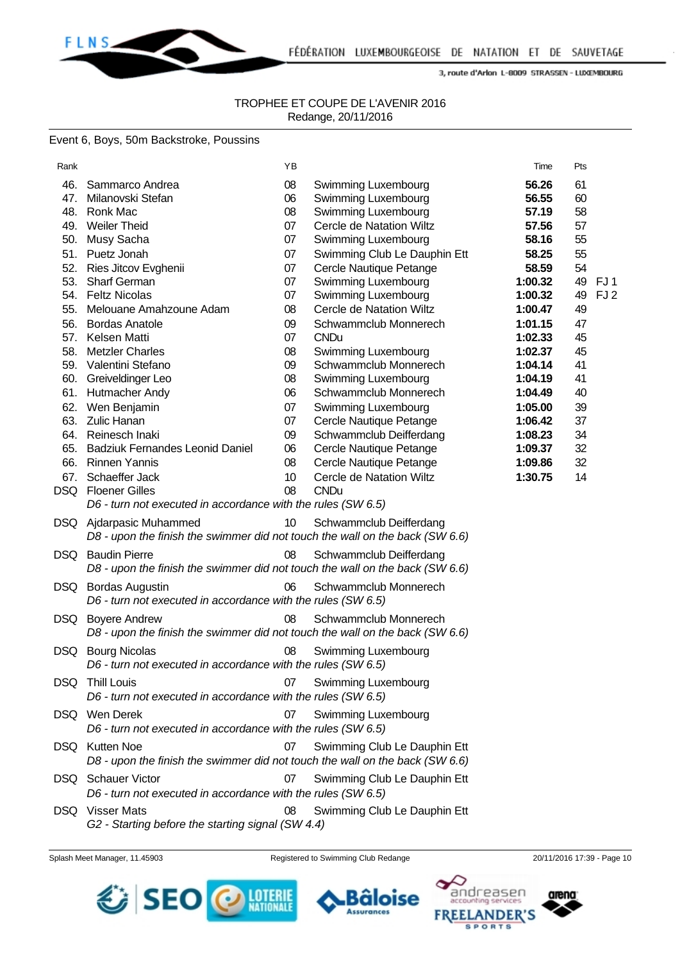

FLNS\_

3, route d'Arlon L-8009 STRASSEN - LUXEMBOURG

#### TROPHEE ET COUPE DE L'AVENIR 2016 Redange, 20/11/2016

#### Event 6, Boys, 50m Backstroke, Poussins

| Rank                                                                                           |                                                                                                                                                                                                                                                                                                                                                                                                     | ΥB                                                                                                             |                                                                                                                                                                                                                                                                                                                                                                                                                                                                                | Time                                                                                                                                                                                            | Pts                                                                                                                                      |  |
|------------------------------------------------------------------------------------------------|-----------------------------------------------------------------------------------------------------------------------------------------------------------------------------------------------------------------------------------------------------------------------------------------------------------------------------------------------------------------------------------------------------|----------------------------------------------------------------------------------------------------------------|--------------------------------------------------------------------------------------------------------------------------------------------------------------------------------------------------------------------------------------------------------------------------------------------------------------------------------------------------------------------------------------------------------------------------------------------------------------------------------|-------------------------------------------------------------------------------------------------------------------------------------------------------------------------------------------------|------------------------------------------------------------------------------------------------------------------------------------------|--|
| 46.<br>47.<br>48.<br>52.<br>53.<br>55.<br>56.<br>57.<br>58.<br>60.<br>61.<br>62.<br>63.<br>64. | Sammarco Andrea<br>Milanovski Stefan<br>Ronk Mac<br>49. Weiler Theid<br>50. Musy Sacha<br>51. Puetz Jonah<br>Ries Jitcov Evghenii<br><b>Sharf German</b><br>54. Feltz Nicolas<br>Melouane Amahzoune Adam<br><b>Bordas Anatole</b><br>Kelsen Matti<br><b>Metzler Charles</b><br>59. Valentini Stefano<br>Greiveldinger Leo<br>Hutmacher Andy<br>Wen Benjamin<br><b>Zulic Hanan</b><br>Reinesch Inaki | 08<br>06<br>08<br>07<br>07<br>07<br>07<br>07<br>07<br>08<br>09<br>07<br>08<br>09<br>08<br>06<br>07<br>07<br>09 | Swimming Luxembourg<br>Swimming Luxembourg<br>Swimming Luxembourg<br>Cercle de Natation Wiltz<br>Swimming Luxembourg<br>Swimming Club Le Dauphin Ett<br>Cercle Nautique Petange<br>Swimming Luxembourg<br>Swimming Luxembourg<br>Cercle de Natation Wiltz<br>Schwammclub Monnerech<br><b>CNDu</b><br>Swimming Luxembourg<br>Schwammclub Monnerech<br>Swimming Luxembourg<br>Schwammclub Monnerech<br>Swimming Luxembourg<br>Cercle Nautique Petange<br>Schwammclub Deifferdang | 56.26<br>56.55<br>57.19<br>57.56<br>58.16<br>58.25<br>58.59<br>1:00.32<br>1:00.32<br>1:00.47<br>1:01.15<br>1:02.33<br>1:02.37<br>1:04.14<br>1:04.19<br>1:04.49<br>1:05.00<br>1:06.42<br>1:08.23 | 61<br>60<br>58<br>57<br>55<br>55<br>54<br>49<br>FJ1<br>49<br>FJ <sub>2</sub><br>49<br>47<br>45<br>45<br>41<br>41<br>40<br>39<br>37<br>34 |  |
| 65.<br>66.<br>67.<br>DSQ                                                                       | <b>Badziuk Fernandes Leonid Daniel</b><br><b>Rinnen Yannis</b><br>Schaeffer Jack<br><b>Floener Gilles</b><br>D6 - turn not executed in accordance with the rules (SW 6.5)                                                                                                                                                                                                                           | 06<br>08<br>10<br>08                                                                                           | Cercle Nautique Petange<br>Cercle Nautique Petange<br>Cercle de Natation Wiltz<br><b>CNDu</b>                                                                                                                                                                                                                                                                                                                                                                                  | 1:09.37<br>1:09.86<br>1:30.75                                                                                                                                                                   | 32<br>32<br>14                                                                                                                           |  |
|                                                                                                | DSQ Ajdarpasic Muhammed<br>D8 - upon the finish the swimmer did not touch the wall on the back (SW 6.6)                                                                                                                                                                                                                                                                                             | 10                                                                                                             | Schwammclub Deifferdang                                                                                                                                                                                                                                                                                                                                                                                                                                                        |                                                                                                                                                                                                 |                                                                                                                                          |  |
|                                                                                                | <b>DSQ</b> Baudin Pierre<br>D8 - upon the finish the swimmer did not touch the wall on the back (SW 6.6)                                                                                                                                                                                                                                                                                            | 08                                                                                                             | Schwammclub Deifferdang                                                                                                                                                                                                                                                                                                                                                                                                                                                        |                                                                                                                                                                                                 |                                                                                                                                          |  |
| DSQ                                                                                            | <b>Bordas Augustin</b><br>D6 - turn not executed in accordance with the rules (SW 6.5)                                                                                                                                                                                                                                                                                                              | 06                                                                                                             | Schwammclub Monnerech                                                                                                                                                                                                                                                                                                                                                                                                                                                          |                                                                                                                                                                                                 |                                                                                                                                          |  |
| DSQ.                                                                                           | <b>Boyere Andrew</b><br>D8 - upon the finish the swimmer did not touch the wall on the back (SW 6.6)                                                                                                                                                                                                                                                                                                | 08                                                                                                             | Schwammclub Monnerech                                                                                                                                                                                                                                                                                                                                                                                                                                                          |                                                                                                                                                                                                 |                                                                                                                                          |  |
| DSQ                                                                                            | <b>Bourg Nicolas</b><br>D6 - turn not executed in accordance with the rules (SW 6.5)                                                                                                                                                                                                                                                                                                                | 08                                                                                                             | Swimming Luxembourg                                                                                                                                                                                                                                                                                                                                                                                                                                                            |                                                                                                                                                                                                 |                                                                                                                                          |  |
| DSQ                                                                                            | <b>Thill Louis</b><br>D6 - turn not executed in accordance with the rules (SW 6.5)                                                                                                                                                                                                                                                                                                                  | 07                                                                                                             | Swimming Luxembourg                                                                                                                                                                                                                                                                                                                                                                                                                                                            |                                                                                                                                                                                                 |                                                                                                                                          |  |
|                                                                                                | DSQ Wen Derek<br>D6 - turn not executed in accordance with the rules (SW 6.5)                                                                                                                                                                                                                                                                                                                       | 07                                                                                                             | Swimming Luxembourg                                                                                                                                                                                                                                                                                                                                                                                                                                                            |                                                                                                                                                                                                 |                                                                                                                                          |  |
|                                                                                                | DSQ Kutten Noe<br>D8 - upon the finish the swimmer did not touch the wall on the back (SW 6.6)                                                                                                                                                                                                                                                                                                      | 07                                                                                                             | Swimming Club Le Dauphin Ett                                                                                                                                                                                                                                                                                                                                                                                                                                                   |                                                                                                                                                                                                 |                                                                                                                                          |  |
| DSQ                                                                                            | <b>Schauer Victor</b><br>D6 - turn not executed in accordance with the rules (SW 6.5)                                                                                                                                                                                                                                                                                                               | 07                                                                                                             | Swimming Club Le Dauphin Ett                                                                                                                                                                                                                                                                                                                                                                                                                                                   |                                                                                                                                                                                                 |                                                                                                                                          |  |
|                                                                                                | DSQ Visser Mats<br>G2 - Starting before the starting signal (SW 4.4)                                                                                                                                                                                                                                                                                                                                | 08                                                                                                             | Swimming Club Le Dauphin Ett                                                                                                                                                                                                                                                                                                                                                                                                                                                   |                                                                                                                                                                                                 |                                                                                                                                          |  |

Splash Meet Manager, 11.45903 Registered to Swimming Club Redange 20/11/2016 17:39 - Page 10

**Assurances** 



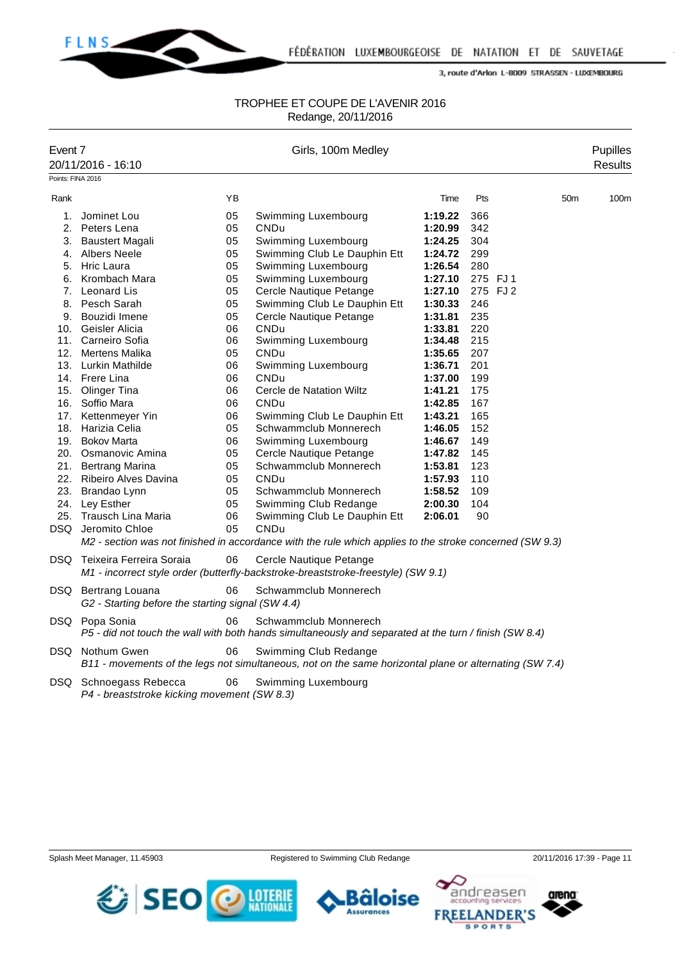

#### TROPHEE ET COUPE DE L'AVENIR 2016 Redange, 20/11/2016

| Event 7           | 20/11/2016 - 16:10                                |    | Girls, 100m Medley                                                                                       |         |     |                 | Pupilles<br><b>Results</b> |
|-------------------|---------------------------------------------------|----|----------------------------------------------------------------------------------------------------------|---------|-----|-----------------|----------------------------|
| Points: FINA 2016 |                                                   |    |                                                                                                          |         |     |                 |                            |
| Rank              |                                                   | YB |                                                                                                          | Time    | Pts | 50 <sub>m</sub> | 100m                       |
| 1.                | Jominet Lou                                       | 05 | Swimming Luxembourg                                                                                      | 1:19.22 | 366 |                 |                            |
|                   | 2. Peters Lena                                    | 05 | CNDu                                                                                                     | 1:20.99 | 342 |                 |                            |
| 3.                | Baustert Magali                                   | 05 | Swimming Luxembourg                                                                                      | 1:24.25 | 304 |                 |                            |
|                   | 4. Albers Neele                                   | 05 | Swimming Club Le Dauphin Ett                                                                             | 1:24.72 | 299 |                 |                            |
|                   | 5. Hric Laura                                     | 05 | Swimming Luxembourg                                                                                      | 1:26.54 | 280 |                 |                            |
| 6.                | Krombach Mara                                     | 05 | Swimming Luxembourg                                                                                      | 1:27.10 |     | 275 FJ1         |                            |
|                   | 7. Leonard Lis                                    | 05 | Cercle Nautique Petange                                                                                  | 1:27.10 |     | 275 FJ 2        |                            |
|                   | 8. Pesch Sarah                                    | 05 | Swimming Club Le Dauphin Ett                                                                             | 1:30.33 | 246 |                 |                            |
|                   | 9. Bouzidi Imene                                  | 05 | Cercle Nautique Petange                                                                                  | 1:31.81 | 235 |                 |                            |
|                   | 10. Geisler Alicia                                | 06 | CNDu                                                                                                     | 1:33.81 | 220 |                 |                            |
|                   | 11. Carneiro Sofia                                | 06 | Swimming Luxembourg                                                                                      | 1:34.48 | 215 |                 |                            |
|                   | 12. Mertens Malika                                | 05 | CNDu                                                                                                     | 1:35.65 | 207 |                 |                            |
|                   | 13. Lurkin Mathilde                               | 06 | Swimming Luxembourg                                                                                      | 1:36.71 | 201 |                 |                            |
|                   | 14. Frere Lina                                    | 06 | CNDu                                                                                                     | 1:37.00 | 199 |                 |                            |
|                   | 15. Olinger Tina                                  | 06 | Cercle de Natation Wiltz                                                                                 | 1:41.21 | 175 |                 |                            |
|                   | 16. Soffio Mara                                   | 06 | CNDu                                                                                                     | 1:42.85 | 167 |                 |                            |
|                   | 17. Kettenmeyer Yin                               | 06 | Swimming Club Le Dauphin Ett                                                                             | 1:43.21 | 165 |                 |                            |
|                   | 18. Harizia Celia                                 | 05 | Schwammclub Monnerech                                                                                    | 1:46.05 | 152 |                 |                            |
|                   | 19. Bokov Marta                                   | 06 | Swimming Luxembourg                                                                                      | 1:46.67 | 149 |                 |                            |
|                   | 20. Osmanovic Amina                               | 05 | Cercle Nautique Petange                                                                                  | 1:47.82 | 145 |                 |                            |
| 21.               | <b>Bertrang Marina</b>                            | 05 | Schwammclub Monnerech                                                                                    | 1:53.81 | 123 |                 |                            |
|                   | 22. Ribeiro Alves Davina                          | 05 | CNDu                                                                                                     | 1:57.93 | 110 |                 |                            |
|                   | 23. Brandao Lynn                                  | 05 | Schwammclub Monnerech                                                                                    | 1:58.52 | 109 |                 |                            |
|                   | 24. Ley Esther                                    | 05 | Swimming Club Redange                                                                                    | 2:00.30 | 104 |                 |                            |
|                   | 25. Trausch Lina Maria                            | 06 | Swimming Club Le Dauphin Ett                                                                             | 2:06.01 | 90  |                 |                            |
|                   | DSQ Jeromito Chloe                                | 05 | CNDu                                                                                                     |         |     |                 |                            |
|                   |                                                   |    | M2 - section was not finished in accordance with the rule which applies to the stroke concerned (SW 9.3) |         |     |                 |                            |
|                   | DSQ Teixeira Ferreira Soraia                      | 06 | Cercle Nautique Petange                                                                                  |         |     |                 |                            |
|                   |                                                   |    | M1 - incorrect style order (butterfly-backstroke-breaststroke-freestyle) (SW 9.1)                        |         |     |                 |                            |
|                   | DSQ Bertrang Louana                               | 06 | Schwammclub Monnerech                                                                                    |         |     |                 |                            |
|                   | G2 - Starting before the starting signal (SW 4.4) |    |                                                                                                          |         |     |                 |                            |
|                   | DSQ Popa Sonia                                    | 06 | Schwammclub Monnerech                                                                                    |         |     |                 |                            |
|                   |                                                   |    | P5 - did not touch the wall with both hands simultaneously and separated at the turn / finish (SW 8.4)   |         |     |                 |                            |
|                   | DSQ Nothum Gwen                                   | 06 | Swimming Club Redange                                                                                    |         |     |                 |                            |
|                   |                                                   |    | B11 - movements of the legs not simultaneous, not on the same horizontal plane or alternating (SW 7.4)   |         |     |                 |                            |
|                   | DSQ Schnoegass Rebecca                            | 06 | Swimming Luxembourg                                                                                      |         |     |                 |                            |
|                   | P4 - breaststroke kicking movement (SW 8.3)       |    |                                                                                                          |         |     |                 |                            |
|                   |                                                   |    |                                                                                                          |         |     |                 |                            |

Splash Meet Manager, 11.45903 Registered to Swimming Club Redange 20/11/2016 17:39 - Page 11







١Q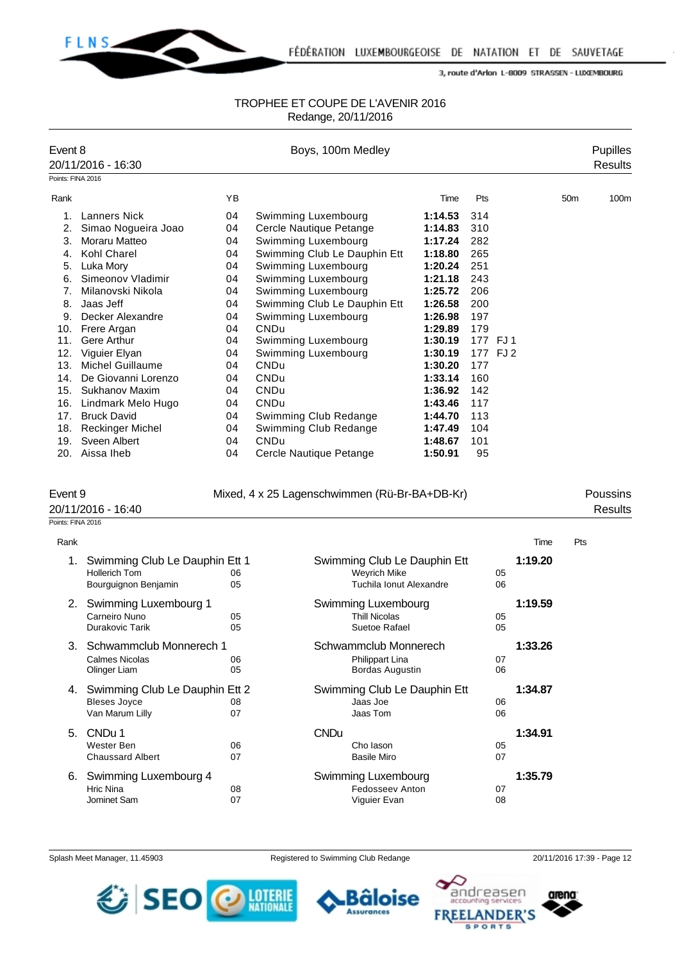

#### TROPHEE ET COUPE DE L'AVENIR 2016 Redange, 20/11/2016

| Event 8           |                         |    | Boys, 100m Medley            |         |          |                 | <b>Pupilles</b> |
|-------------------|-------------------------|----|------------------------------|---------|----------|-----------------|-----------------|
|                   | 20/11/2016 - 16:30      |    |                              |         |          |                 | <b>Results</b>  |
| Points: FINA 2016 |                         |    |                              |         |          |                 |                 |
| Rank              |                         | YB |                              | Time    | Pts      | 50 <sub>m</sub> | 100m            |
|                   | <b>Lanners Nick</b>     | 04 | Swimming Luxembourg          | 1:14.53 | 314      |                 |                 |
| 2.                | Simao Nogueira Joao     | 04 | Cercle Nautique Petange      | 1:14.83 | 310      |                 |                 |
| 3.                | Moraru Matteo           | 04 | Swimming Luxembourg          | 1:17.24 | 282      |                 |                 |
| 4.                | Kohl Charel             | 04 | Swimming Club Le Dauphin Ett | 1:18.80 | 265      |                 |                 |
| 5.                | Luka Mory               | 04 | Swimming Luxembourg          | 1:20.24 | 251      |                 |                 |
| 6.                | Simeonov Vladimir       | 04 | Swimming Luxembourg          | 1:21.18 | 243      |                 |                 |
| 7 <sub>1</sub>    | Milanovski Nikola       | 04 | Swimming Luxembourg          | 1:25.72 | 206      |                 |                 |
| 8.                | Jaas Jeff               | 04 | Swimming Club Le Dauphin Ett | 1:26.58 | 200      |                 |                 |
| 9.                | Decker Alexandre        | 04 | Swimming Luxembourg          | 1:26.98 | 197      |                 |                 |
| 10.               | Frere Argan             | 04 | CNDu                         | 1:29.89 | 179      |                 |                 |
| 11.               | Gere Arthur             | 04 | Swimming Luxembourg          | 1:30.19 | 177 FJ1  |                 |                 |
| 12.               | Viguier Elyan           | 04 | Swimming Luxembourg          | 1:30.19 | 177 FJ 2 |                 |                 |
| 13.               | Michel Guillaume        | 04 | CNDu                         | 1:30.20 | 177      |                 |                 |
| 14.               | De Giovanni Lorenzo     | 04 | CNDu                         | 1:33.14 | 160      |                 |                 |
| 15.               | Sukhanov Maxim          | 04 | CNDu                         | 1:36.92 | 142      |                 |                 |
| 16.               | Lindmark Melo Hugo      | 04 | CNDu                         | 1:43.46 | 117      |                 |                 |
| 17.               | <b>Bruck David</b>      | 04 | Swimming Club Redange        | 1:44.70 | 113      |                 |                 |
| 18.               | <b>Reckinger Michel</b> | 04 | Swimming Club Redange        | 1:47.49 | 104      |                 |                 |
| 19.               | Sveen Albert            | 04 | CNDu                         | 1:48.67 | 101      |                 |                 |
| 20.               | Aissa Iheb              | 04 | Cercle Nautique Petange      | 1:50.91 | 95       |                 |                 |

Event 9 Mixed, 4 x 25 Lagenschwimmen (Rü-Br-BA+DB-Kr) Poussins

Points: FINA 2016

| Rank |                                                                                |          |             |                                                                                |          | Time    | Pts |
|------|--------------------------------------------------------------------------------|----------|-------------|--------------------------------------------------------------------------------|----------|---------|-----|
| 1.   | Swimming Club Le Dauphin Ett 1<br><b>Hollerich Tom</b><br>Bourguignon Benjamin | 06<br>05 |             | Swimming Club Le Dauphin Ett<br><b>Weyrich Mike</b><br>Tuchila Ionut Alexandre | 05<br>06 | 1:19.20 |     |
| 2.   | Swimming Luxembourg 1<br>Carneiro Nuno<br>Durakovic Tarik                      | 05<br>05 |             | Swimming Luxembourg<br><b>Thill Nicolas</b><br>Suetoe Rafael                   | 05<br>05 | 1:19.59 |     |
| 3.   | Schwammclub Monnerech 1<br>Calmes Nicolas<br>Olinger Liam                      | 06<br>05 |             | Schwammclub Monnerech<br>Philippart Lina<br>Bordas Augustin                    | 07<br>06 | 1:33.26 |     |
| 4.   | Swimming Club Le Dauphin Ett 2<br><b>Bleses Joyce</b><br>Van Marum Lilly       | 08<br>07 |             | Swimming Club Le Dauphin Ett<br>Jaas Joe<br>Jaas Tom                           | 06<br>06 | 1:34.87 |     |
| 5.   | CNDu 1<br>Wester Ben<br><b>Chaussard Albert</b>                                | 06<br>07 | <b>CNDu</b> | Cho lason<br><b>Basile Miro</b>                                                | 05<br>07 | 1:34.91 |     |
| 6.   | Swimming Luxembourg 4<br>Hric Nina<br>Jominet Sam                              | 08<br>07 |             | Swimming Luxembourg<br>Fedosseev Anton<br>Viguier Evan                         | 07<br>08 | 1:35.79 |     |

Splash Meet Manager, 11.45903 Registered to Swimming Club Redange 20/11/2016 17:39 - Page 12

Bâloise

**Assurances** 







20/11/2016 - 16:40 Results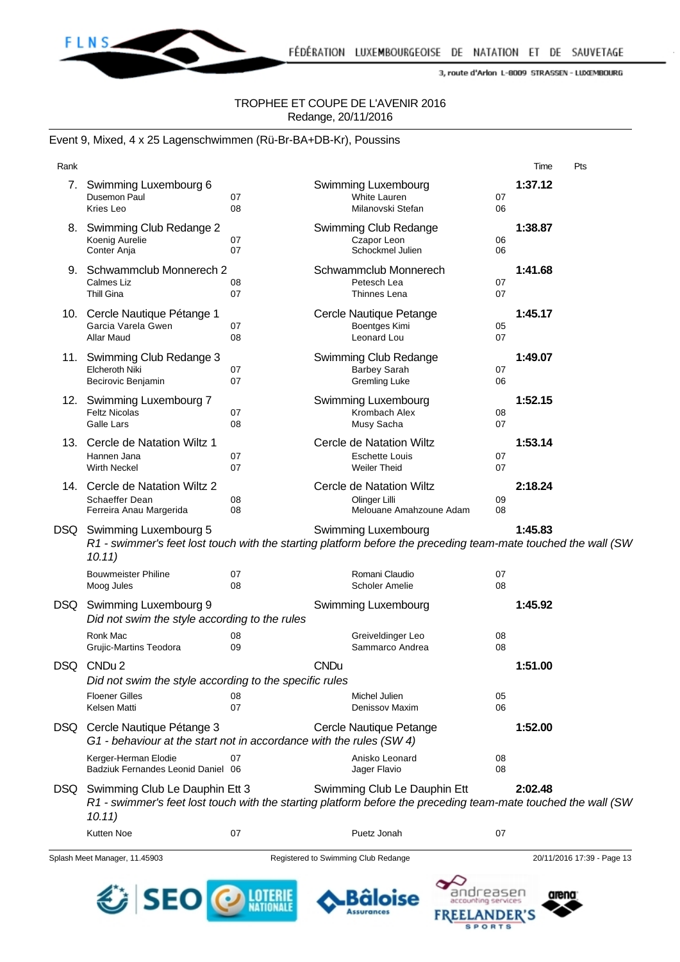

## TROPHEE ET COUPE DE L'AVENIR 2016 Redange, 20/11/2016

#### Event 9, Mixed, 4 x 25 Lagenschwimmen (Rü-Br-BA+DB-Kr), Poussins

| Rank |                                                                                                                       |          |                                                                                                                                               |          | Time    | Pts                        |
|------|-----------------------------------------------------------------------------------------------------------------------|----------|-----------------------------------------------------------------------------------------------------------------------------------------------|----------|---------|----------------------------|
| 7.   | Swimming Luxembourg 6<br>Dusemon Paul<br>Kries Leo                                                                    | 07<br>08 | Swimming Luxembourg<br>White Lauren<br>Milanovski Stefan                                                                                      | 07<br>06 | 1:37.12 |                            |
| 8.   | Swimming Club Redange 2<br>Koenig Aurelie<br>Conter Anja                                                              | 07<br>07 | Swimming Club Redange<br>Czapor Leon<br>Schockmel Julien                                                                                      | 06<br>06 | 1:38.87 |                            |
|      | 9. Schwammclub Monnerech 2<br>Calmes Liz<br><b>Thill Gina</b>                                                         | 08<br>07 | Schwammclub Monnerech<br>Petesch Lea<br>Thinnes Lena                                                                                          | 07<br>07 | 1:41.68 |                            |
|      | 10. Cercle Nautique Pétange 1<br>Garcia Varela Gwen<br>Allar Maud                                                     | 07<br>08 | Cercle Nautique Petange<br>Boentges Kimi<br>Leonard Lou                                                                                       | 05<br>07 | 1:45.17 |                            |
| 11.  | Swimming Club Redange 3<br>Elcheroth Niki<br>Becirovic Benjamin                                                       | 07<br>07 | Swimming Club Redange<br><b>Barbey Sarah</b><br><b>Gremling Luke</b>                                                                          | 07<br>06 | 1:49.07 |                            |
|      | 12. Swimming Luxembourg 7<br><b>Feltz Nicolas</b><br>Galle Lars                                                       | 07<br>08 | Swimming Luxembourg<br>Krombach Alex<br>Musy Sacha                                                                                            | 08<br>07 | 1:52.15 |                            |
|      | 13. Cercle de Natation Wiltz 1<br>Hannen Jana<br><b>Wirth Neckel</b>                                                  | 07<br>07 | Cercle de Natation Wiltz<br><b>Eschette Louis</b><br><b>Weiler Theid</b>                                                                      | 07<br>07 | 1:53.14 |                            |
|      | 14. Cercle de Natation Wiltz 2<br>Schaeffer Dean<br>Ferreira Anau Margerida                                           | 08<br>08 | Cercle de Natation Wiltz<br>Olinger Lilli<br>Melouane Amahzoune Adam                                                                          | 09<br>08 | 2:18.24 |                            |
| DSQ  | Swimming Luxembourg 5<br>10.11)                                                                                       |          | Swimming Luxembourg<br>R1 - swimmer's feet lost touch with the starting platform before the preceding team-mate touched the wall (SW          |          | 1:45.83 |                            |
|      | <b>Bouwmeister Philine</b><br>Moog Jules                                                                              | 07<br>08 | Romani Claudio<br><b>Scholer Amelie</b>                                                                                                       | 07<br>08 |         |                            |
| DSQ  | Swimming Luxembourg 9<br>Did not swim the style according to the rules                                                |          | Swimming Luxembourg                                                                                                                           |          | 1:45.92 |                            |
|      | Ronk Mac<br><b>Grujic-Martins Teodora</b>                                                                             | 08<br>09 | Greiveldinger Leo<br>Sammarco Andrea                                                                                                          | 08<br>08 |         |                            |
| DSQ  | CND <sub>u</sub> 2<br>Did not swim the style according to the specific rules<br><b>Floener Gilles</b><br>Kelsen Matti | 08<br>07 | CNDu.<br>Michel Julien<br>Denissov Maxim                                                                                                      | 05<br>06 | 1:51.00 |                            |
|      | DSQ Cercle Nautique Pétange 3<br>G1 - behaviour at the start not in accordance with the rules (SW 4)                  |          | Cercle Nautique Petange                                                                                                                       |          | 1:52.00 |                            |
|      | Kerger-Herman Elodie<br>Badziuk Fernandes Leonid Daniel 06                                                            | 07       | Anisko Leonard<br>Jager Flavio                                                                                                                | 08<br>08 |         |                            |
|      | DSQ Swimming Club Le Dauphin Ett 3<br>10.11)                                                                          |          | Swimming Club Le Dauphin Ett<br>R1 - swimmer's feet lost touch with the starting platform before the preceding team-mate touched the wall (SW |          | 2:02.48 |                            |
|      | Kutten Noe                                                                                                            | 07       | Puetz Jonah                                                                                                                                   | 07       |         |                            |
|      | Splash Meet Manager, 11.45903                                                                                         |          | Registered to Swimming Club Redange                                                                                                           |          |         | 20/11/2016 17:39 - Page 13 |



**.Bâloise Assurances** 

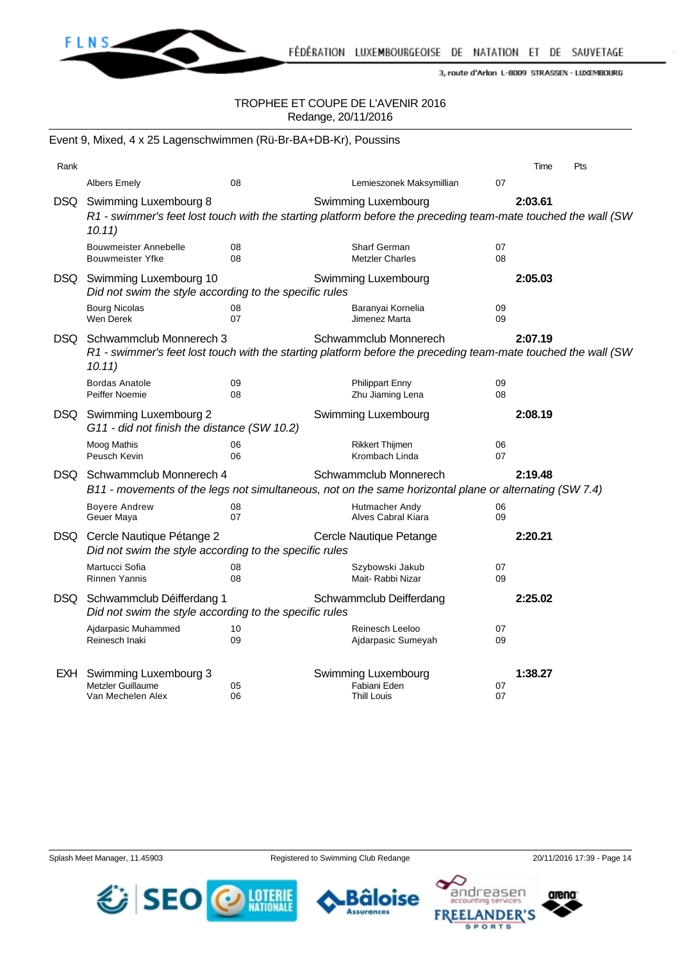

#### TROPHEE ET COUPE DE L'AVENIR 2016 Redange, 20/11/2016

|            | Event 9, Mixed, 4 x 25 Lagenschwimmen (Rü-Br-BA+DB-Kr), Poussins                                                                                                                       |          |                                                           |          |         |     |  |  |
|------------|----------------------------------------------------------------------------------------------------------------------------------------------------------------------------------------|----------|-----------------------------------------------------------|----------|---------|-----|--|--|
| Rank       |                                                                                                                                                                                        |          |                                                           |          | Time    | Pts |  |  |
|            | <b>Albers Emely</b>                                                                                                                                                                    | 08       | Lemieszonek Maksymillian                                  | 07       |         |     |  |  |
| DSQ.       | 2:03.61<br>Swimming Luxembourg 8<br>Swimming Luxembourg<br>R1 - swimmer's feet lost touch with the starting platform before the preceding team-mate touched the wall (SW<br>10.11)     |          |                                                           |          |         |     |  |  |
|            | <b>Bouwmeister Annebelle</b><br>Bouwmeister Yfke                                                                                                                                       | 08<br>08 | Sharf German<br><b>Metzler Charles</b>                    | 07<br>08 |         |     |  |  |
| DSQ.       | Swimming Luxembourg 10<br>Did not swim the style according to the specific rules                                                                                                       |          | Swimming Luxembourg                                       |          | 2:05.03 |     |  |  |
|            | <b>Bourg Nicolas</b><br>Wen Derek                                                                                                                                                      | 08<br>07 | Baranyai Kornelia<br>Jimenez Marta                        | 09<br>09 |         |     |  |  |
| DSQ.       | Schwammclub Monnerech 3<br>Schwammclub Monnerech<br>2:07.19<br>R1 - swimmer's feet lost touch with the starting platform before the preceding team-mate touched the wall (SW<br>10.11) |          |                                                           |          |         |     |  |  |
|            | <b>Bordas Anatole</b><br>Peiffer Noemie                                                                                                                                                | 09<br>08 | <b>Philippart Enny</b><br>Zhu Jiaming Lena                | 09<br>08 |         |     |  |  |
|            | DSQ Swimming Luxembourg 2<br>G11 - did not finish the distance (SW 10.2)                                                                                                               |          | Swimming Luxembourg                                       |          | 2:08.19 |     |  |  |
|            | Moog Mathis<br>Peusch Kevin                                                                                                                                                            | 06<br>06 | <b>Rikkert Thijmen</b><br>Krombach Linda                  | 06<br>07 |         |     |  |  |
|            | 2:19.48<br>DSQ Schwammclub Monnerech 4<br>Schwammclub Monnerech<br>B11 - movements of the legs not simultaneous, not on the same horizontal plane or alternating (SW 7.4)              |          |                                                           |          |         |     |  |  |
|            | <b>Boyere Andrew</b><br>Geuer Maya                                                                                                                                                     | 08<br>07 | Hutmacher Andy<br>Alves Cabral Kiara                      | 06<br>09 |         |     |  |  |
| DSQ.       | Cercle Nautique Pétange 2<br>Did not swim the style according to the specific rules                                                                                                    |          | Cercle Nautique Petange                                   |          | 2:20.21 |     |  |  |
|            | Martucci Sofia<br><b>Rinnen Yannis</b>                                                                                                                                                 | 08<br>08 | Szybowski Jakub<br>Mait-Rabbi Nizar                       | 07<br>09 |         |     |  |  |
| DSQ.       | Schwammclub Déifferdang 1<br>Did not swim the style according to the specific rules                                                                                                    |          | Schwammclub Deifferdang                                   |          | 2:25.02 |     |  |  |
|            | Ajdarpasic Muhammed<br>Reinesch Inaki                                                                                                                                                  | 10<br>09 | Reinesch Leeloo<br>Ajdarpasic Sumeyah                     | 07<br>09 |         |     |  |  |
| <b>EXH</b> | Swimming Luxembourg 3<br>Metzler Guillaume<br>Van Mechelen Alex                                                                                                                        | 05<br>06 | Swimming Luxembourg<br>Fabiani Eden<br><b>Thill Louis</b> | 07<br>07 | 1:38.27 |     |  |  |

Splash Meet Manager, 11.45903 Registered to Swimming Club Redange 20/11/2016 17:39 - Page 14







١Q

**SPORTS**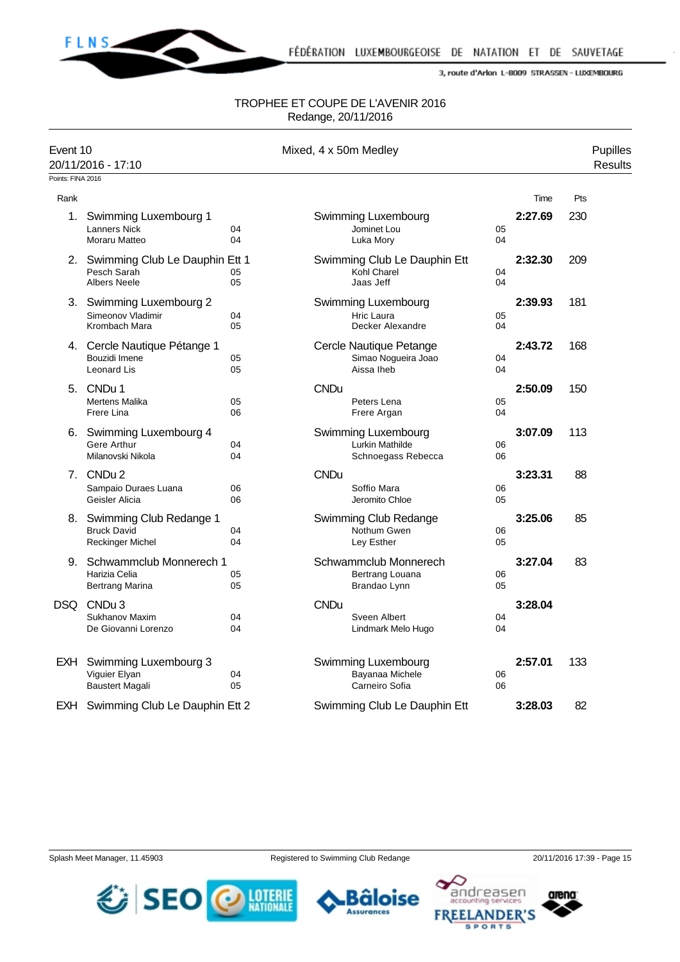

#### TROPHEE ET COUPE DE L'AVENIR 2016 Redange, 20/11/2016

| Event 10<br>Points: FINA 2016 | 20/11/2016 - 17:10                                                          |          |             | Mixed, 4 x 50m Medley                                               |          |         |     | Pupilles<br><b>Results</b> |
|-------------------------------|-----------------------------------------------------------------------------|----------|-------------|---------------------------------------------------------------------|----------|---------|-----|----------------------------|
| Rank                          |                                                                             |          |             |                                                                     |          | Time    | Pts |                            |
| 1.                            | Swimming Luxembourg 1<br><b>Lanners Nick</b><br>Moraru Matteo               | 04<br>04 |             | Swimming Luxembourg<br>Jominet Lou<br>Luka Mory                     | 05<br>04 | 2:27.69 | 230 |                            |
|                               | 2. Swimming Club Le Dauphin Ett 1<br>Pesch Sarah<br><b>Albers Neele</b>     | 05<br>05 |             | Swimming Club Le Dauphin Ett<br>Kohl Charel<br>Jaas Jeff            | 04<br>04 | 2:32.30 | 209 |                            |
|                               | 3. Swimming Luxembourg 2<br>Simeonov Vladimir<br>Krombach Mara              | 04<br>05 |             | Swimming Luxembourg<br>Hric Laura<br>Decker Alexandre               | 05<br>04 | 2:39.93 | 181 |                            |
|                               | 4. Cercle Nautique Pétange 1<br>Bouzidi Imene<br>Leonard Lis                | 05<br>05 |             | Cercle Nautique Petange<br>Simao Nogueira Joao<br>Aissa Iheb        | 04<br>04 | 2:43.72 | 168 |                            |
|                               | 5. CNDu 1<br><b>Mertens Malika</b><br>Frere Lina                            | 05<br>06 | <b>CNDu</b> | Peters Lena<br>Frere Argan                                          | 05<br>04 | 2:50.09 | 150 |                            |
|                               | 6. Swimming Luxembourg 4<br>Gere Arthur<br>Milanovski Nikola                | 04<br>04 |             | Swimming Luxembourg<br><b>Lurkin Mathilde</b><br>Schnoegass Rebecca | 06<br>06 | 3:07.09 | 113 |                            |
|                               | 7. CNDu 2<br>Sampaio Duraes Luana<br>Geisler Alicia                         | 06<br>06 | <b>CNDu</b> | Soffio Mara<br>Jeromito Chloe                                       | 06<br>05 | 3:23.31 | 88  |                            |
|                               | 8. Swimming Club Redange 1<br><b>Bruck David</b><br><b>Reckinger Michel</b> | 04<br>04 |             | Swimming Club Redange<br>Nothum Gwen<br>Ley Esther                  | 06<br>05 | 3:25.06 | 85  |                            |
|                               | 9. Schwammclub Monnerech 1<br>Harizia Celia<br>Bertrang Marina              | 05<br>05 |             | Schwammclub Monnerech<br>Bertrang Louana<br>Brandao Lynn            | 06<br>05 | 3:27.04 | 83  |                            |
| DSQ                           | CNDu <sub>3</sub><br><b>Sukhanov Maxim</b><br>De Giovanni Lorenzo           | 04<br>04 | <b>CNDu</b> | Sveen Albert<br>Lindmark Melo Hugo                                  | 04<br>04 | 3:28.04 |     |                            |
| EXH I                         | Swimming Luxembourg 3<br>Viguier Elyan<br><b>Baustert Magali</b>            | 04<br>05 |             | Swimming Luxembourg<br>Bayanaa Michele<br>Carneiro Sofia            | 06<br>06 | 2:57.01 | 133 |                            |
| EXH                           | Swimming Club Le Dauphin Ett 2                                              |          |             | Swimming Club Le Dauphin Ett                                        |          | 3:28.03 | 82  |                            |

arena

andreasen

١Q

**SPORTS**